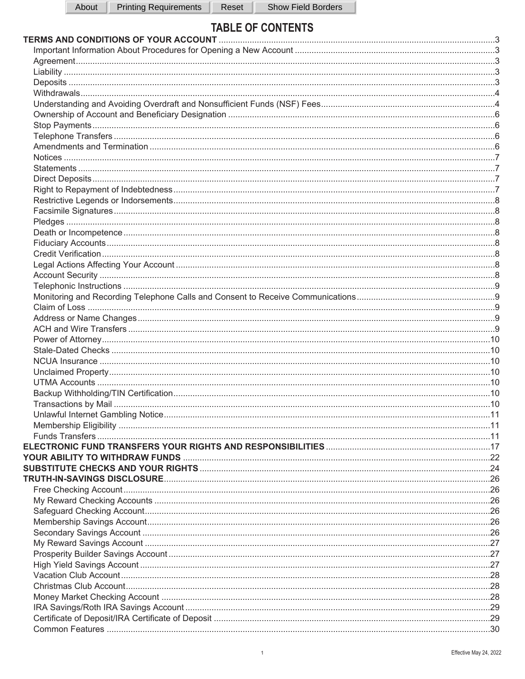# **TABLE OF CONTENTS**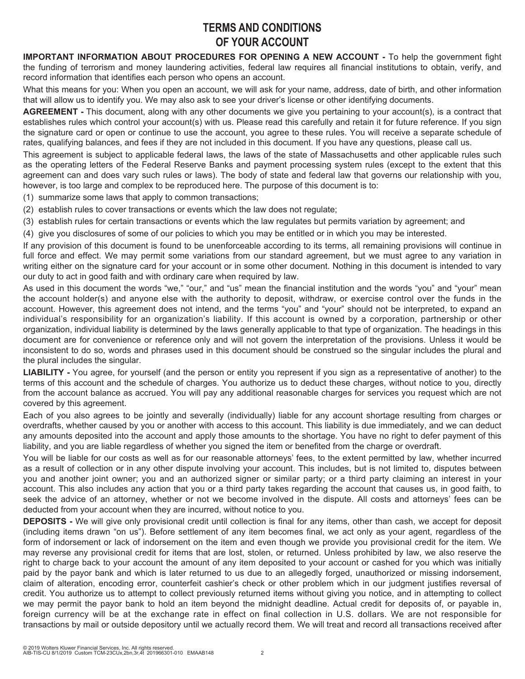# **TERMS AND CONDITIONS OF YOUR ACCOUNT**

**IMPORTANT INFORMATION ABOUT PROCEDURES FOR OPENING A NEW ACCOUNT -** To help the government fight the funding of terrorism and money laundering activities, federal law requires all financial institutions to obtain, verify, and record information that identifies each person who opens an account.

What this means for you: When you open an account, we will ask for your name, address, date of birth, and other information that will allow us to identify you. We may also ask to see your driver's license or other identifying documents.

**AGREEMENT -** This document, along with any other documents we give you pertaining to your account(s), is a contract that establishes rules which control your account(s) with us. Please read this carefully and retain it for future reference. If you sign the signature card or open or continue to use the account, you agree to these rules. You will receive a separate schedule of rates, qualifying balances, and fees if they are not included in this document. If you have any questions, please call us.

This agreement is subject to applicable federal laws, the laws of the state of Massachusetts and other applicable rules such as the operating letters of the Federal Reserve Banks and payment processing system rules (except to the extent that this agreement can and does vary such rules or laws). The body of state and federal law that governs our relationship with you, however, is too large and complex to be reproduced here. The purpose of this document is to:

(1) summarize some laws that apply to common transactions;

- (2) establish rules to cover transactions or events which the law does not regulate;
- (3) establish rules for certain transactions or events which the law regulates but permits variation by agreement; and
- (4) give you disclosures of some of our policies to which you may be entitled or in which you may be interested.

If any provision of this document is found to be unenforceable according to its terms, all remaining provisions will continue in full force and effect. We may permit some variations from our standard agreement, but we must agree to any variation in writing either on the signature card for your account or in some other document. Nothing in this document is intended to vary our duty to act in good faith and with ordinary care when required by law.

As used in this document the words "we," "our," and "us" mean the financial institution and the words "you" and "your" mean the account holder(s) and anyone else with the authority to deposit, withdraw, or exercise control over the funds in the account. However, this agreement does not intend, and the terms "you" and "your" should not be interpreted, to expand an individual's responsibility for an organization's liability. If this account is owned by a corporation, partnership or other organization, individual liability is determined by the laws generally applicable to that type of organization. The headings in this document are for convenience or reference only and will not govern the interpretation of the provisions. Unless it would be inconsistent to do so, words and phrases used in this document should be construed so the singular includes the plural and the plural includes the singular.

**LIABILITY -** You agree, for yourself (and the person or entity you represent if you sign as a representative of another) to the terms of this account and the schedule of charges. You authorize us to deduct these charges, without notice to you, directly from the account balance as accrued. You will pay any additional reasonable charges for services you request which are not covered by this agreement.

Each of you also agrees to be jointly and severally (individually) liable for any account shortage resulting from charges or overdrafts, whether caused by you or another with access to this account. This liability is due immediately, and we can deduct any amounts deposited into the account and apply those amounts to the shortage. You have no right to defer payment of this liability, and you are liable regardless of whether you signed the item or benefited from the charge or overdraft.

You will be liable for our costs as well as for our reasonable attorneys' fees, to the extent permitted by law, whether incurred as a result of collection or in any other dispute involving your account. This includes, but is not limited to, disputes between you and another joint owner; you and an authorized signer or similar party; or a third party claiming an interest in your account. This also includes any action that you or a third party takes regarding the account that causes us, in good faith, to seek the advice of an attorney, whether or not we become involved in the dispute. All costs and attorneys' fees can be deducted from your account when they are incurred, without notice to you.

**DEPOSITS -** We will give only provisional credit until collection is final for any items, other than cash, we accept for deposit (including items drawn "on us"). Before settlement of any item becomes final, we act only as your agent, regardless of the form of indorsement or lack of indorsement on the item and even though we provide you provisional credit for the item. We may reverse any provisional credit for items that are lost, stolen, or returned. Unless prohibited by law, we also reserve the right to charge back to your account the amount of any item deposited to your account or cashed for you which was initially paid by the payor bank and which is later returned to us due to an allegedly forged, unauthorized or missing indorsement, claim of alteration, encoding error, counterfeit cashier's check or other problem which in our judgment justifies reversal of credit. You authorize us to attempt to collect previously returned items without giving you notice, and in attempting to collect we may permit the payor bank to hold an item beyond the midnight deadline. Actual credit for deposits of, or payable in, foreign currency will be at the exchange rate in effect on final collection in U.S. dollars. We are not responsible for transactions by mail or outside depository until we actually record them. We will treat and record all transactions received after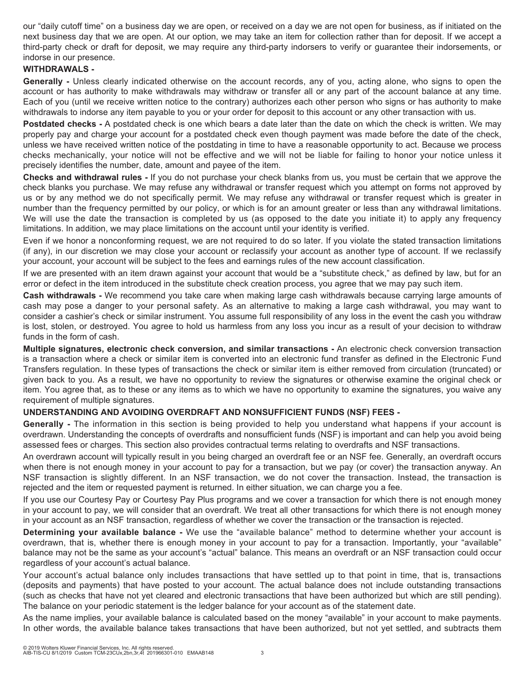our "daily cutoff time" on a business day we are open, or received on a day we are not open for business, as if initiated on the next business day that we are open. At our option, we may take an item for collection rather than for deposit. If we accept a third-party check or draft for deposit, we may require any third-party indorsers to verify or guarantee their indorsements, or indorse in our presence.

# **WITHDRAWALS -**

**Generally -** Unless clearly indicated otherwise on the account records, any of you, acting alone, who signs to open the account or has authority to make withdrawals may withdraw or transfer all or any part of the account balance at any time. Each of you (until we receive written notice to the contrary) authorizes each other person who signs or has authority to make withdrawals to indorse any item payable to you or your order for deposit to this account or any other transaction with us.

**Postdated checks -** A postdated check is one which bears a date later than the date on which the check is written. We may properly pay and charge your account for a postdated check even though payment was made before the date of the check, unless we have received written notice of the postdating in time to have a reasonable opportunity to act. Because we process checks mechanically, your notice will not be effective and we will not be liable for failing to honor your notice unless it precisely identifies the number, date, amount and payee of the item.

**Checks and withdrawal rules -** If you do not purchase your check blanks from us, you must be certain that we approve the check blanks you purchase. We may refuse any withdrawal or transfer request which you attempt on forms not approved by us or by any method we do not specifically permit. We may refuse any withdrawal or transfer request which is greater in number than the frequency permitted by our policy, or which is for an amount greater or less than any withdrawal limitations. We will use the date the transaction is completed by us (as opposed to the date you initiate it) to apply any frequency limitations. In addition, we may place limitations on the account until your identity is verified.

Even if we honor a nonconforming request, we are not required to do so later. If you violate the stated transaction limitations (if any), in our discretion we may close your account or reclassify your account as another type of account. If we reclassify your account, your account will be subject to the fees and earnings rules of the new account classification.

If we are presented with an item drawn against your account that would be a "substitute check," as defined by law, but for an error or defect in the item introduced in the substitute check creation process, you agree that we may pay such item.

**Cash withdrawals -** We recommend you take care when making large cash withdrawals because carrying large amounts of cash may pose a danger to your personal safety. As an alternative to making a large cash withdrawal, you may want to consider a cashier's check or similar instrument. You assume full responsibility of any loss in the event the cash you withdraw is lost, stolen, or destroyed. You agree to hold us harmless from any loss you incur as a result of your decision to withdraw funds in the form of cash.

**Multiple signatures, electronic check conversion, and similar transactions -** An electronic check conversion transaction is a transaction where a check or similar item is converted into an electronic fund transfer as defined in the Electronic Fund Transfers regulation. In these types of transactions the check or similar item is either removed from circulation (truncated) or given back to you. As a result, we have no opportunity to review the signatures or otherwise examine the original check or item. You agree that, as to these or any items as to which we have no opportunity to examine the signatures, you waive any requirement of multiple signatures.

# **UNDERSTANDING AND AVOIDING OVERDRAFT AND NONSUFFICIENT FUNDS (NSF) FEES -**

**Generally -** The information in this section is being provided to help you understand what happens if your account is overdrawn. Understanding the concepts of overdrafts and nonsufficient funds (NSF) is important and can help you avoid being assessed fees or charges. This section also provides contractual terms relating to overdrafts and NSF transactions.

An overdrawn account will typically result in you being charged an overdraft fee or an NSF fee. Generally, an overdraft occurs when there is not enough money in your account to pay for a transaction, but we pay (or cover) the transaction anyway. An NSF transaction is slightly different. In an NSF transaction, we do not cover the transaction. Instead, the transaction is rejected and the item or requested payment is returned. In either situation, we can charge you a fee.

If you use our Courtesy Pay or Courtesy Pay Plus programs and we cover a transaction for which there is not enough money in your account to pay, we will consider that an overdraft. We treat all other transactions for which there is not enough money in your account as an NSF transaction, regardless of whether we cover the transaction or the transaction is rejected.

**Determining your available balance -** We use the "available balance" method to determine whether your account is overdrawn, that is, whether there is enough money in your account to pay for a transaction. Importantly, your "available" balance may not be the same as your account's "actual" balance. This means an overdraft or an NSF transaction could occur regardless of your account's actual balance.

Your account's actual balance only includes transactions that have settled up to that point in time, that is, transactions (deposits and payments) that have posted to your account. The actual balance does not include outstanding transactions (such as checks that have not yet cleared and electronic transactions that have been authorized but which are still pending). The balance on your periodic statement is the ledger balance for your account as of the statement date.

As the name implies, your available balance is calculated based on the money "available" in your account to make payments. In other words, the available balance takes transactions that have been authorized, but not yet settled, and subtracts them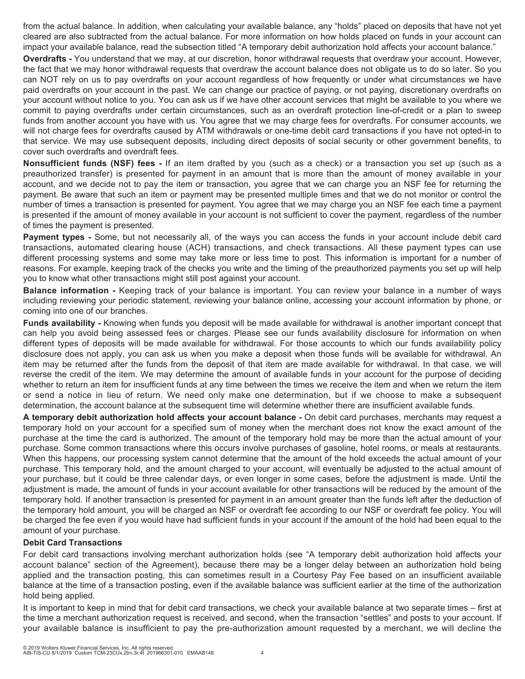from the actual balance. In addition, when calculating your available balance, any "holds" placed on deposits that have not yet cleared are also subtracted from the actual balance. For more information on how holds placed on funds in your account can impact your available balance, read the subsection titled "A temporary debit authorization hold affects your account balance."

**Overdrafts -** You understand that we may, at our discretion, honor withdrawal requests that overdraw your account. However, the fact that we may honor withdrawal requests that overdraw the account balance does not obligate us to do so later. So you can NOT rely on us to pay overdrafts on your account regardless of how frequently or under what circumstances we have paid overdrafts on your account in the past. We can change our practice of paying, or not paying, discretionary overdrafts on your account without notice to you. You can ask us if we have other account services that might be available to you where we commit to paying overdrafts under certain circumstances, such as an overdraft protection line-of-credit or a plan to sweep funds from another account you have with us. You agree that we may charge fees for overdrafts. For consumer accounts, we will not charge fees for overdrafts caused by ATM withdrawals or one-time debit card transactions if you have not opted-in to that service. We may use subsequent deposits, including direct deposits of social security or other government benefits, to cover such overdrafts and overdraft fees.

**Nonsufficient funds (NSF) fees -** If an item drafted by you (such as a check) or a transaction you set up (such as a preauthorized transfer) is presented for payment in an amount that is more than the amount of money available in your account, and we decide not to pay the item or transaction, you agree that we can charge you an NSF fee for returning the payment. Be aware that such an item or payment may be presented multiple times and that we do not monitor or control the number of times a transaction is presented for payment. You agree that we may charge you an NSF fee each time a payment is presented if the amount of money available in your account is not sufficient to cover the payment, regardless of the number of times the payment is presented.

**Payment types -** Some, but not necessarily all, of the ways you can access the funds in your account include debit card transactions, automated clearing house (ACH) transactions, and check transactions. All these payment types can use different processing systems and some may take more or less time to post. This information is important for a number of reasons. For example, keeping track of the checks you write and the timing of the preauthorized payments you set up will help you to know what other transactions might still post against your account.

**Balance information -** Keeping track of your balance is important. You can review your balance in a number of ways including reviewing your periodic statement, reviewing your balance online, accessing your account information by phone, or coming into one of our branches.

**Funds availability -** Knowing when funds you deposit will be made available for withdrawal is another important concept that can help you avoid being assessed fees or charges. Please see our funds availability disclosure for information on when different types of deposits will be made available for withdrawal. For those accounts to which our funds availability policy disclosure does not apply, you can ask us when you make a deposit when those funds will be available for withdrawal. An item may be returned after the funds from the deposit of that item are made available for withdrawal. In that case, we will reverse the credit of the item. We may determine the amount of available funds in your account for the purpose of deciding whether to return an item for insufficient funds at any time between the times we receive the item and when we return the item or send a notice in lieu of return. We need only make one determination, but if we choose to make a subsequent determination, the account balance at the subsequent time will determine whether there are insufficient available funds.

**A temporary debit authorization hold affects your account balance -** On debit card purchases, merchants may request a temporary hold on your account for a specified sum of money when the merchant does not know the exact amount of the purchase at the time the card is authorized. The amount of the temporary hold may be more than the actual amount of your purchase. Some common transactions where this occurs involve purchases of gasoline, hotel rooms, or meals at restaurants. When this happens, our processing system cannot determine that the amount of the hold exceeds the actual amount of your purchase. This temporary hold, and the amount charged to your account, will eventually be adjusted to the actual amount of your purchase, but it could be three calendar days, or even longer in some cases, before the adjustment is made. Until the adjustment is made, the amount of funds in your account available for other transactions will be reduced by the amount of the temporary hold. If another transaction is presented for payment in an amount greater than the funds left after the deduction of the temporary hold amount, you will be charged an NSF or overdraft fee according to our NSF or overdraft fee policy. You will be charged the fee even if you would have had sufficient funds in your account if the amount of the hold had been equal to the amount of your purchase.

# **Debit Card Transactions**

For debit card transactions involving merchant authorization holds (see "A temporary debit authorization hold affects your account balance" section of the Agreement), because there may be a longer delay between an authorization hold being applied and the transaction posting, this can sometimes result in a Courtesy Pay Fee based on an insufficient available balance at the time of a transaction posting, even if the available balance was sufficient earlier at the time of the authorization hold being applied.

It is important to keep in mind that for debit card transactions, we check your available balance at two separate times – first at the time a merchant authorization request is received, and second, when the transaction "settles" and posts to your account. If your available balance is insufficient to pay the pre-authorization amount requested by a merchant, we will decline the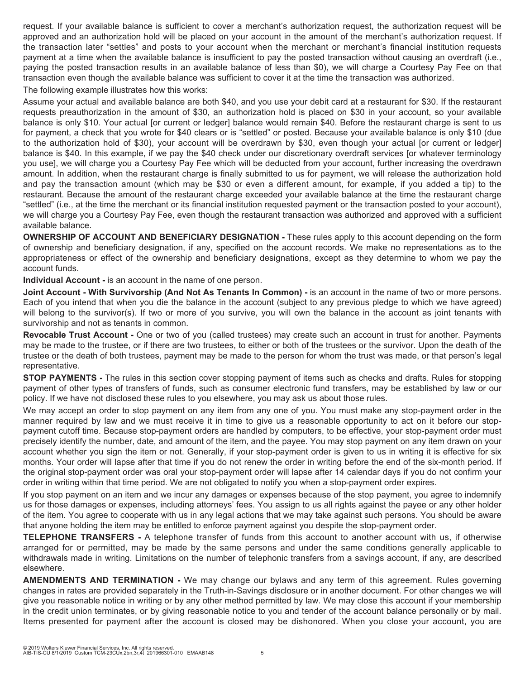request. If your available balance is sufficient to cover a merchant's authorization request, the authorization request will be approved and an authorization hold will be placed on your account in the amount of the merchant's authorization request. If the transaction later "settles" and posts to your account when the merchant or merchant's financial institution requests payment at a time when the available balance is insufficient to pay the posted transaction without causing an overdraft (i.e., paying the posted transaction results in an available balance of less than \$0), we will charge a Courtesy Pay Fee on that transaction even though the available balance was sufficient to cover it at the time the transaction was authorized.

The following example illustrates how this works:

Assume your actual and available balance are both \$40, and you use your debit card at a restaurant for \$30. If the restaurant requests preauthorization in the amount of \$30, an authorization hold is placed on \$30 in your account, so your available balance is only \$10. Your actual [or current or ledger] balance would remain \$40. Before the restaurant charge is sent to us for payment, a check that you wrote for \$40 clears or is "settled" or posted. Because your available balance is only \$10 (due to the authorization hold of \$30), your account will be overdrawn by \$30, even though your actual [or current or ledger] balance is \$40. In this example, if we pay the \$40 check under our discretionary overdraft services [or whatever terminology you use], we will charge you a Courtesy Pay Fee which will be deducted from your account, further increasing the overdrawn amount. In addition, when the restaurant charge is finally submitted to us for payment, we will release the authorization hold and pay the transaction amount (which may be \$30 or even a different amount, for example, if you added a tip) to the restaurant. Because the amount of the restaurant charge exceeded your available balance at the time the restaurant charge "settled" (i.e., at the time the merchant or its financial institution requested payment or the transaction posted to your account), we will charge you a Courtesy Pay Fee, even though the restaurant transaction was authorized and approved with a sufficient available balance.

**OWNERSHIP OF ACCOUNT AND BENEFICIARY DESIGNATION -** These rules apply to this account depending on the form of ownership and beneficiary designation, if any, specified on the account records. We make no representations as to the appropriateness or effect of the ownership and beneficiary designations, except as they determine to whom we pay the account funds.

**Individual Account -** is an account in the name of one person.

**Joint Account - With Survivorship (And Not As Tenants In Common) -** is an account in the name of two or more persons. Each of you intend that when you die the balance in the account (subject to any previous pledge to which we have agreed) will belong to the survivor(s). If two or more of you survive, you will own the balance in the account as joint tenants with survivorship and not as tenants in common.

**Revocable Trust Account -** One or two of you (called trustees) may create such an account in trust for another. Payments may be made to the trustee, or if there are two trustees, to either or both of the trustees or the survivor. Upon the death of the trustee or the death of both trustees, payment may be made to the person for whom the trust was made, or that person's legal representative.

**STOP PAYMENTS -** The rules in this section cover stopping payment of items such as checks and drafts. Rules for stopping payment of other types of transfers of funds, such as consumer electronic fund transfers, may be established by law or our policy. If we have not disclosed these rules to you elsewhere, you may ask us about those rules.

We may accept an order to stop payment on any item from any one of you. You must make any stop-payment order in the manner required by law and we must receive it in time to give us a reasonable opportunity to act on it before our stoppayment cutoff time. Because stop-payment orders are handled by computers, to be effective, your stop-payment order must precisely identify the number, date, and amount of the item, and the payee. You may stop payment on any item drawn on your account whether you sign the item or not. Generally, if your stop-payment order is given to us in writing it is effective for six months. Your order will lapse after that time if you do not renew the order in writing before the end of the six-month period. If the original stop-payment order was oral your stop-payment order will lapse after 14 calendar days if you do not confirm your order in writing within that time period. We are not obligated to notify you when a stop-payment order expires.

If you stop payment on an item and we incur any damages or expenses because of the stop payment, you agree to indemnify us for those damages or expenses, including attorneys' fees. You assign to us all rights against the payee or any other holder of the item. You agree to cooperate with us in any legal actions that we may take against such persons. You should be aware that anyone holding the item may be entitled to enforce payment against you despite the stop-payment order.

**TELEPHONE TRANSFERS -** A telephone transfer of funds from this account to another account with us, if otherwise arranged for or permitted, may be made by the same persons and under the same conditions generally applicable to withdrawals made in writing. Limitations on the number of telephonic transfers from a savings account, if any, are described elsewhere.

**AMENDMENTS AND TERMINATION -** We may change our bylaws and any term of this agreement. Rules governing changes in rates are provided separately in the Truth-in-Savings disclosure or in another document. For other changes we will give you reasonable notice in writing or by any other method permitted by law. We may close this account if your membership in the credit union terminates, or by giving reasonable notice to you and tender of the account balance personally or by mail. Items presented for payment after the account is closed may be dishonored. When you close your account, you are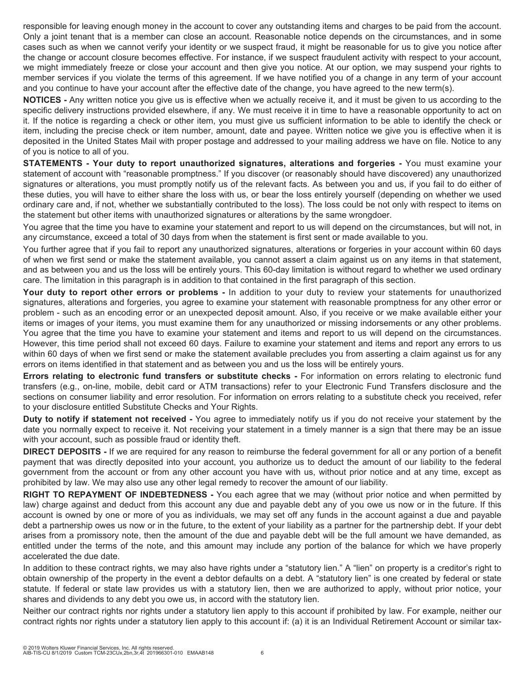responsible for leaving enough money in the account to cover any outstanding items and charges to be paid from the account. Only a joint tenant that is a member can close an account. Reasonable notice depends on the circumstances, and in some cases such as when we cannot verify your identity or we suspect fraud, it might be reasonable for us to give you notice after the change or account closure becomes effective. For instance, if we suspect fraudulent activity with respect to your account, we might immediately freeze or close your account and then give you notice. At our option, we may suspend your rights to member services if you violate the terms of this agreement. If we have notified you of a change in any term of your account and you continue to have your account after the effective date of the change, you have agreed to the new term(s).

**NOTICES -** Any written notice you give us is effective when we actually receive it, and it must be given to us according to the specific delivery instructions provided elsewhere, if any. We must receive it in time to have a reasonable opportunity to act on it. If the notice is regarding a check or other item, you must give us sufficient information to be able to identify the check or item, including the precise check or item number, amount, date and payee. Written notice we give you is effective when it is deposited in the United States Mail with proper postage and addressed to your mailing address we have on file. Notice to any of you is notice to all of you.

**STATEMENTS - Your duty to report unauthorized signatures, alterations and forgeries -** You must examine your statement of account with "reasonable promptness." If you discover (or reasonably should have discovered) any unauthorized signatures or alterations, you must promptly notify us of the relevant facts. As between you and us, if you fail to do either of these duties, you will have to either share the loss with us, or bear the loss entirely yourself (depending on whether we used ordinary care and, if not, whether we substantially contributed to the loss). The loss could be not only with respect to items on the statement but other items with unauthorized signatures or alterations by the same wrongdoer.

You agree that the time you have to examine your statement and report to us will depend on the circumstances, but will not, in any circumstance, exceed a total of 30 days from when the statement is first sent or made available to you.

You further agree that if you fail to report any unauthorized signatures, alterations or forgeries in your account within 60 days of when we first send or make the statement available, you cannot assert a claim against us on any items in that statement, and as between you and us the loss will be entirely yours. This 60-day limitation is without regard to whether we used ordinary care. The limitation in this paragraph is in addition to that contained in the first paragraph of this section.

**Your duty to report other errors or problems -** In addition to your duty to review your statements for unauthorized signatures, alterations and forgeries, you agree to examine your statement with reasonable promptness for any other error or problem - such as an encoding error or an unexpected deposit amount. Also, if you receive or we make available either your items or images of your items, you must examine them for any unauthorized or missing indorsements or any other problems. You agree that the time you have to examine your statement and items and report to us will depend on the circumstances. However, this time period shall not exceed 60 days. Failure to examine your statement and items and report any errors to us within 60 days of when we first send or make the statement available precludes you from asserting a claim against us for any errors on items identified in that statement and as between you and us the loss will be entirely yours.

**Errors relating to electronic fund transfers or substitute checks -** For information on errors relating to electronic fund transfers (e.g., on-line, mobile, debit card or ATM transactions) refer to your Electronic Fund Transfers disclosure and the sections on consumer liability and error resolution. For information on errors relating to a substitute check you received, refer to your disclosure entitled Substitute Checks and Your Rights.

**Duty to notify if statement not received -** You agree to immediately notify us if you do not receive your statement by the date you normally expect to receive it. Not receiving your statement in a timely manner is a sign that there may be an issue with your account, such as possible fraud or identity theft.

**DIRECT DEPOSITS -** If we are required for any reason to reimburse the federal government for all or any portion of a benefit payment that was directly deposited into your account, you authorize us to deduct the amount of our liability to the federal government from the account or from any other account you have with us, without prior notice and at any time, except as prohibited by law. We may also use any other legal remedy to recover the amount of our liability.

**RIGHT TO REPAYMENT OF INDEBTEDNESS -** You each agree that we may (without prior notice and when permitted by law) charge against and deduct from this account any due and payable debt any of you owe us now or in the future. If this account is owned by one or more of you as individuals, we may set off any funds in the account against a due and payable debt a partnership owes us now or in the future, to the extent of your liability as a partner for the partnership debt. If your debt arises from a promissory note, then the amount of the due and payable debt will be the full amount we have demanded, as entitled under the terms of the note, and this amount may include any portion of the balance for which we have properly accelerated the due date.

In addition to these contract rights, we may also have rights under a "statutory lien." A "lien" on property is a creditor's right to obtain ownership of the property in the event a debtor defaults on a debt. A "statutory lien" is one created by federal or state statute. If federal or state law provides us with a statutory lien, then we are authorized to apply, without prior notice, your shares and dividends to any debt you owe us, in accord with the statutory lien.

Neither our contract rights nor rights under a statutory lien apply to this account if prohibited by law. For example, neither our contract rights nor rights under a statutory lien apply to this account if: (a) it is an Individual Retirement Account or similar tax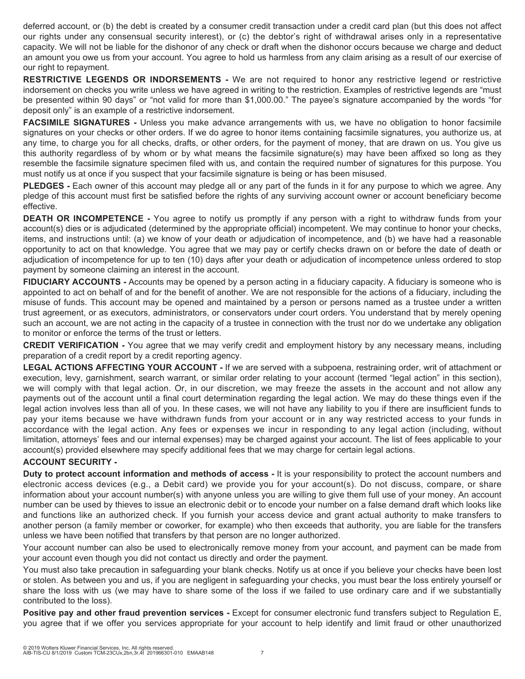deferred account, or (b) the debt is created by a consumer credit transaction under a credit card plan (but this does not affect our rights under any consensual security interest), or (c) the debtor's right of withdrawal arises only in a representative capacity. We will not be liable for the dishonor of any check or draft when the dishonor occurs because we charge and deduct an amount you owe us from your account. You agree to hold us harmless from any claim arising as a result of our exercise of our right to repayment.

**RESTRICTIVE LEGENDS OR INDORSEMENTS -** We are not required to honor any restrictive legend or restrictive indorsement on checks you write unless we have agreed in writing to the restriction. Examples of restrictive legends are "must be presented within 90 days" or "not valid for more than \$1,000.00." The payee's signature accompanied by the words "for deposit only" is an example of a restrictive indorsement.

**FACSIMILE SIGNATURES -** Unless you make advance arrangements with us, we have no obligation to honor facsimile signatures on your checks or other orders. If we do agree to honor items containing facsimile signatures, you authorize us, at any time, to charge you for all checks, drafts, or other orders, for the payment of money, that are drawn on us. You give us this authority regardless of by whom or by what means the facsimile signature(s) may have been affixed so long as they resemble the facsimile signature specimen filed with us, and contain the required number of signatures for this purpose. You must notify us at once if you suspect that your facsimile signature is being or has been misused.

**PLEDGES -** Each owner of this account may pledge all or any part of the funds in it for any purpose to which we agree. Any pledge of this account must first be satisfied before the rights of any surviving account owner or account beneficiary become effective.

**DEATH OR INCOMPETENCE -** You agree to notify us promptly if any person with a right to withdraw funds from your account(s) dies or is adjudicated (determined by the appropriate official) incompetent. We may continue to honor your checks, items, and instructions until: (a) we know of your death or adjudication of incompetence, and (b) we have had a reasonable opportunity to act on that knowledge. You agree that we may pay or certify checks drawn on or before the date of death or adjudication of incompetence for up to ten (10) days after your death or adjudication of incompetence unless ordered to stop payment by someone claiming an interest in the account.

**FIDUCIARY ACCOUNTS -** Accounts may be opened by a person acting in a fiduciary capacity. A fiduciary is someone who is appointed to act on behalf of and for the benefit of another. We are not responsible for the actions of a fiduciary, including the misuse of funds. This account may be opened and maintained by a person or persons named as a trustee under a written trust agreement, or as executors, administrators, or conservators under court orders. You understand that by merely opening such an account, we are not acting in the capacity of a trustee in connection with the trust nor do we undertake any obligation to monitor or enforce the terms of the trust or letters.

**CREDIT VERIFICATION -** You agree that we may verify credit and employment history by any necessary means, including preparation of a credit report by a credit reporting agency.

**LEGAL ACTIONS AFFECTING YOUR ACCOUNT -** If we are served with a subpoena, restraining order, writ of attachment or execution, levy, garnishment, search warrant, or similar order relating to your account (termed "legal action" in this section), we will comply with that legal action. Or, in our discretion, we may freeze the assets in the account and not allow any payments out of the account until a final court determination regarding the legal action. We may do these things even if the legal action involves less than all of you. In these cases, we will not have any liability to you if there are insufficient funds to pay your items because we have withdrawn funds from your account or in any way restricted access to your funds in accordance with the legal action. Any fees or expenses we incur in responding to any legal action (including, without limitation, attorneys' fees and our internal expenses) may be charged against your account. The list of fees applicable to your account(s) provided elsewhere may specify additional fees that we may charge for certain legal actions.

# **ACCOUNT SECURITY -**

**Duty to protect account information and methods of access -** It is your responsibility to protect the account numbers and electronic access devices (e.g., a Debit card) we provide you for your account(s). Do not discuss, compare, or share information about your account number(s) with anyone unless you are willing to give them full use of your money. An account number can be used by thieves to issue an electronic debit or to encode your number on a false demand draft which looks like and functions like an authorized check. If you furnish your access device and grant actual authority to make transfers to another person (a family member or coworker, for example) who then exceeds that authority, you are liable for the transfers unless we have been notified that transfers by that person are no longer authorized.

Your account number can also be used to electronically remove money from your account, and payment can be made from your account even though you did not contact us directly and order the payment.

You must also take precaution in safeguarding your blank checks. Notify us at once if you believe your checks have been lost or stolen. As between you and us, if you are negligent in safeguarding your checks, you must bear the loss entirely yourself or share the loss with us (we may have to share some of the loss if we failed to use ordinary care and if we substantially contributed to the loss).

**Positive pay and other fraud prevention services -** Except for consumer electronic fund transfers subject to Regulation E, you agree that if we offer you services appropriate for your account to help identify and limit fraud or other unauthorized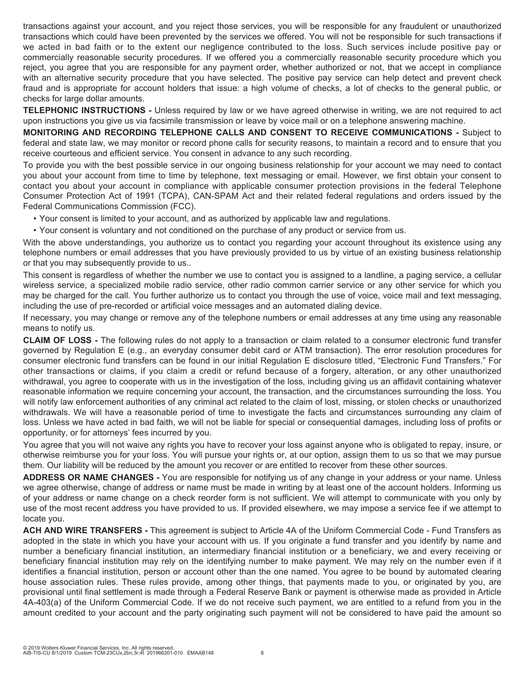transactions against your account, and you reject those services, you will be responsible for any fraudulent or unauthorized transactions which could have been prevented by the services we offered. You will not be responsible for such transactions if we acted in bad faith or to the extent our negligence contributed to the loss. Such services include positive pay or commercially reasonable security procedures. If we offered you a commercially reasonable security procedure which you reject, you agree that you are responsible for any payment order, whether authorized or not, that we accept in compliance with an alternative security procedure that you have selected. The positive pay service can help detect and prevent check fraud and is appropriate for account holders that issue: a high volume of checks, a lot of checks to the general public, or checks for large dollar amounts.

**TELEPHONIC INSTRUCTIONS -** Unless required by law or we have agreed otherwise in writing, we are not required to act upon instructions you give us via facsimile transmission or leave by voice mail or on a telephone answering machine.

**MONITORING AND RECORDING TELEPHONE CALLS AND CONSENT TO RECEIVE COMMUNICATIONS -** Subject to federal and state law, we may monitor or record phone calls for security reasons, to maintain a record and to ensure that you receive courteous and efficient service. You consent in advance to any such recording.

To provide you with the best possible service in our ongoing business relationship for your account we may need to contact you about your account from time to time by telephone, text messaging or email. However, we first obtain your consent to contact you about your account in compliance with applicable consumer protection provisions in the federal Telephone Consumer Protection Act of 1991 (TCPA), CAN-SPAM Act and their related federal regulations and orders issued by the Federal Communications Commission (FCC).

- Your consent is limited to your account, and as authorized by applicable law and regulations.
- Your consent is voluntary and not conditioned on the purchase of any product or service from us.

With the above understandings, you authorize us to contact you regarding your account throughout its existence using any telephone numbers or email addresses that you have previously provided to us by virtue of an existing business relationship or that you may subsequently provide to us..

This consent is regardless of whether the number we use to contact you is assigned to a landline, a paging service, a cellular wireless service, a specialized mobile radio service, other radio common carrier service or any other service for which you may be charged for the call. You further authorize us to contact you through the use of voice, voice mail and text messaging, including the use of pre-recorded or artificial voice messages and an automated dialing device.

If necessary, you may change or remove any of the telephone numbers or email addresses at any time using any reasonable means to notify us.

**CLAIM OF LOSS -** The following rules do not apply to a transaction or claim related to a consumer electronic fund transfer governed by Regulation E (e.g., an everyday consumer debit card or ATM transaction). The error resolution procedures for consumer electronic fund transfers can be found in our initial Regulation E disclosure titled, "Electronic Fund Transfers." For other transactions or claims, if you claim a credit or refund because of a forgery, alteration, or any other unauthorized withdrawal, you agree to cooperate with us in the investigation of the loss, including giving us an affidavit containing whatever reasonable information we require concerning your account, the transaction, and the circumstances surrounding the loss. You will notify law enforcement authorities of any criminal act related to the claim of lost, missing, or stolen checks or unauthorized withdrawals. We will have a reasonable period of time to investigate the facts and circumstances surrounding any claim of loss. Unless we have acted in bad faith, we will not be liable for special or consequential damages, including loss of profits or opportunity, or for attorneys' fees incurred by you.

You agree that you will not waive any rights you have to recover your loss against anyone who is obligated to repay, insure, or otherwise reimburse you for your loss. You will pursue your rights or, at our option, assign them to us so that we may pursue them. Our liability will be reduced by the amount you recover or are entitled to recover from these other sources.

**ADDRESS OR NAME CHANGES -** You are responsible for notifying us of any change in your address or your name. Unless we agree otherwise, change of address or name must be made in writing by at least one of the account holders. Informing us of your address or name change on a check reorder form is not sufficient. We will attempt to communicate with you only by use of the most recent address you have provided to us. If provided elsewhere, we may impose a service fee if we attempt to locate you.

**ACH AND WIRE TRANSFERS -** This agreement is subject to Article 4A of the Uniform Commercial Code - Fund Transfers as adopted in the state in which you have your account with us. If you originate a fund transfer and you identify by name and number a beneficiary financial institution, an intermediary financial institution or a beneficiary, we and every receiving or beneficiary financial institution may rely on the identifying number to make payment. We may rely on the number even if it identifies a financial institution, person or account other than the one named. You agree to be bound by automated clearing house association rules. These rules provide, among other things, that payments made to you, or originated by you, are provisional until final settlement is made through a Federal Reserve Bank or payment is otherwise made as provided in Article 4A-403(a) of the Uniform Commercial Code. If we do not receive such payment, we are entitled to a refund from you in the amount credited to your account and the party originating such payment will not be considered to have paid the amount so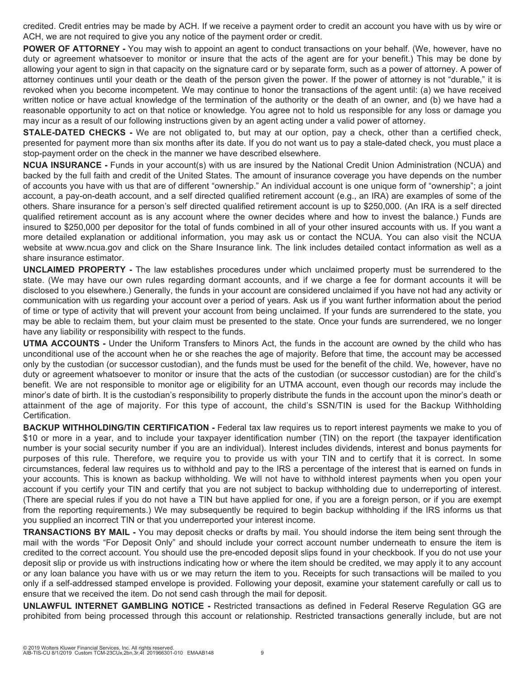credited. Credit entries may be made by ACH. If we receive a payment order to credit an account you have with us by wire or ACH, we are not required to give you any notice of the payment order or credit.

**POWER OF ATTORNEY** - You may wish to appoint an agent to conduct transactions on your behalf. (We, however, have no duty or agreement whatsoever to monitor or insure that the acts of the agent are for your benefit.) This may be done by allowing your agent to sign in that capacity on the signature card or by separate form, such as a power of attorney. A power of attorney continues until your death or the death of the person given the power. If the power of attorney is not "durable," it is revoked when you become incompetent. We may continue to honor the transactions of the agent until: (a) we have received written notice or have actual knowledge of the termination of the authority or the death of an owner, and (b) we have had a reasonable opportunity to act on that notice or knowledge. You agree not to hold us responsible for any loss or damage you may incur as a result of our following instructions given by an agent acting under a valid power of attorney.

**STALE-DATED CHECKS -** We are not obligated to, but may at our option, pay a check, other than a certified check, presented for payment more than six months after its date. If you do not want us to pay a stale-dated check, you must place a stop-payment order on the check in the manner we have described elsewhere.

**NCUA INSURANCE -** Funds in your account(s) with us are insured by the National Credit Union Administration (NCUA) and backed by the full faith and credit of the United States. The amount of insurance coverage you have depends on the number of accounts you have with us that are of different "ownership." An individual account is one unique form of "ownership"; a joint account, a pay-on-death account, and a self directed qualified retirement account (e.g., an IRA) are examples of some of the others. Share insurance for a person's self directed qualified retirement account is up to \$250,000. (An IRA is a self directed qualified retirement account as is any account where the owner decides where and how to invest the balance.) Funds are insured to \$250,000 per depositor for the total of funds combined in all of your other insured accounts with us. If you want a more detailed explanation or additional information, you may ask us or contact the NCUA. You can also visit the NCUA website at www.ncua.gov and click on the Share Insurance link. The link includes detailed contact information as well as a share insurance estimator.

**UNCLAIMED PROPERTY -** The law establishes procedures under which unclaimed property must be surrendered to the state. (We may have our own rules regarding dormant accounts, and if we charge a fee for dormant accounts it will be disclosed to you elsewhere.) Generally, the funds in your account are considered unclaimed if you have not had any activity or communication with us regarding your account over a period of years. Ask us if you want further information about the period of time or type of activity that will prevent your account from being unclaimed. If your funds are surrendered to the state, you may be able to reclaim them, but your claim must be presented to the state. Once your funds are surrendered, we no longer have any liability or responsibility with respect to the funds.

**UTMA ACCOUNTS -** Under the Uniform Transfers to Minors Act, the funds in the account are owned by the child who has unconditional use of the account when he or she reaches the age of majority. Before that time, the account may be accessed only by the custodian (or successor custodian), and the funds must be used for the benefit of the child. We, however, have no duty or agreement whatsoever to monitor or insure that the acts of the custodian (or successor custodian) are for the child's benefit. We are not responsible to monitor age or eligibility for an UTMA account, even though our records may include the minor's date of birth. It is the custodian's responsibility to properly distribute the funds in the account upon the minor's death or attainment of the age of majority. For this type of account, the child's SSN/TIN is used for the Backup Withholding Certification.

**BACKUP WITHHOLDING/TIN CERTIFICATION -** Federal tax law requires us to report interest payments we make to you of \$10 or more in a year, and to include your taxpayer identification number (TIN) on the report (the taxpayer identification number is your social security number if you are an individual). Interest includes dividends, interest and bonus payments for purposes of this rule. Therefore, we require you to provide us with your TIN and to certify that it is correct. In some circumstances, federal law requires us to withhold and pay to the IRS a percentage of the interest that is earned on funds in your accounts. This is known as backup withholding. We will not have to withhold interest payments when you open your account if you certify your TIN and certify that you are not subject to backup withholding due to underreporting of interest. (There are special rules if you do not have a TIN but have applied for one, if you are a foreign person, or if you are exempt from the reporting requirements.) We may subsequently be required to begin backup withholding if the IRS informs us that you supplied an incorrect TIN or that you underreported your interest income.

**TRANSACTIONS BY MAIL -** You may deposit checks or drafts by mail. You should indorse the item being sent through the mail with the words "For Deposit Only" and should include your correct account number underneath to ensure the item is credited to the correct account. You should use the pre-encoded deposit slips found in your checkbook. If you do not use your deposit slip or provide us with instructions indicating how or where the item should be credited, we may apply it to any account or any loan balance you have with us or we may return the item to you. Receipts for such transactions will be mailed to you only if a self-addressed stamped envelope is provided. Following your deposit, examine your statement carefully or call us to ensure that we received the item. Do not send cash through the mail for deposit.

**UNLAWFUL INTERNET GAMBLING NOTICE -** Restricted transactions as defined in Federal Reserve Regulation GG are prohibited from being processed through this account or relationship. Restricted transactions generally include, but are not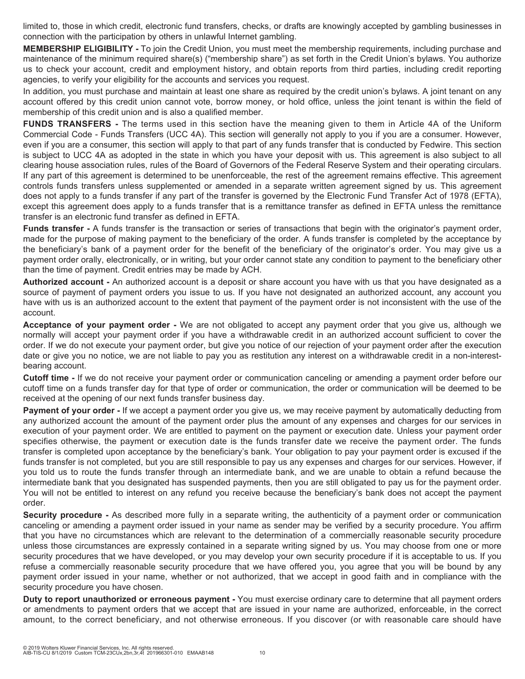limited to, those in which credit, electronic fund transfers, checks, or drafts are knowingly accepted by gambling businesses in connection with the participation by others in unlawful Internet gambling.

**MEMBERSHIP ELIGIBILITY -** To join the Credit Union, you must meet the membership requirements, including purchase and maintenance of the minimum required share(s) ("membership share") as set forth in the Credit Union's bylaws. You authorize us to check your account, credit and employment history, and obtain reports from third parties, including credit reporting agencies, to verify your eligibility for the accounts and services you request.

In addition, you must purchase and maintain at least one share as required by the credit union's bylaws. A joint tenant on any account offered by this credit union cannot vote, borrow money, or hold office, unless the joint tenant is within the field of membership of this credit union and is also a qualified member.

**FUNDS TRANSFERS -** The terms used in this section have the meaning given to them in Article 4A of the Uniform Commercial Code - Funds Transfers (UCC 4A). This section will generally not apply to you if you are a consumer. However, even if you are a consumer, this section will apply to that part of any funds transfer that is conducted by Fedwire. This section is subject to UCC 4A as adopted in the state in which you have your deposit with us. This agreement is also subject to all clearing house association rules, rules of the Board of Governors of the Federal Reserve System and their operating circulars. If any part of this agreement is determined to be unenforceable, the rest of the agreement remains effective. This agreement controls funds transfers unless supplemented or amended in a separate written agreement signed by us. This agreement does not apply to a funds transfer if any part of the transfer is governed by the Electronic Fund Transfer Act of 1978 (EFTA), except this agreement does apply to a funds transfer that is a remittance transfer as defined in EFTA unless the remittance transfer is an electronic fund transfer as defined in EFTA.

**Funds transfer -** A funds transfer is the transaction or series of transactions that begin with the originator's payment order, made for the purpose of making payment to the beneficiary of the order. A funds transfer is completed by the acceptance by the beneficiary's bank of a payment order for the benefit of the beneficiary of the originator's order. You may give us a payment order orally, electronically, or in writing, but your order cannot state any condition to payment to the beneficiary other than the time of payment. Credit entries may be made by ACH.

**Authorized account -** An authorized account is a deposit or share account you have with us that you have designated as a source of payment of payment orders you issue to us. If you have not designated an authorized account, any account you have with us is an authorized account to the extent that payment of the payment order is not inconsistent with the use of the account.

**Acceptance of your payment order -** We are not obligated to accept any payment order that you give us, although we normally will accept your payment order if you have a withdrawable credit in an authorized account sufficient to cover the order. If we do not execute your payment order, but give you notice of our rejection of your payment order after the execution date or give you no notice, we are not liable to pay you as restitution any interest on a withdrawable credit in a non-interestbearing account.

**Cutoff time -** If we do not receive your payment order or communication canceling or amending a payment order before our cutoff time on a funds transfer day for that type of order or communication, the order or communication will be deemed to be received at the opening of our next funds transfer business day.

**Payment of your order -** If we accept a payment order you give us, we may receive payment by automatically deducting from any authorized account the amount of the payment order plus the amount of any expenses and charges for our services in execution of your payment order. We are entitled to payment on the payment or execution date. Unless your payment order specifies otherwise, the payment or execution date is the funds transfer date we receive the payment order. The funds transfer is completed upon acceptance by the beneficiary's bank. Your obligation to pay your payment order is excused if the funds transfer is not completed, but you are still responsible to pay us any expenses and charges for our services. However, if you told us to route the funds transfer through an intermediate bank, and we are unable to obtain a refund because the intermediate bank that you designated has suspended payments, then you are still obligated to pay us for the payment order. You will not be entitled to interest on any refund you receive because the beneficiary's bank does not accept the payment order.

**Security procedure -** As described more fully in a separate writing, the authenticity of a payment order or communication canceling or amending a payment order issued in your name as sender may be verified by a security procedure. You affirm that you have no circumstances which are relevant to the determination of a commercially reasonable security procedure unless those circumstances are expressly contained in a separate writing signed by us. You may choose from one or more security procedures that we have developed, or you may develop your own security procedure if it is acceptable to us. If you refuse a commercially reasonable security procedure that we have offered you, you agree that you will be bound by any payment order issued in your name, whether or not authorized, that we accept in good faith and in compliance with the security procedure you have chosen.

**Duty to report unauthorized or erroneous payment -** You must exercise ordinary care to determine that all payment orders or amendments to payment orders that we accept that are issued in your name are authorized, enforceable, in the correct amount, to the correct beneficiary, and not otherwise erroneous. If you discover (or with reasonable care should have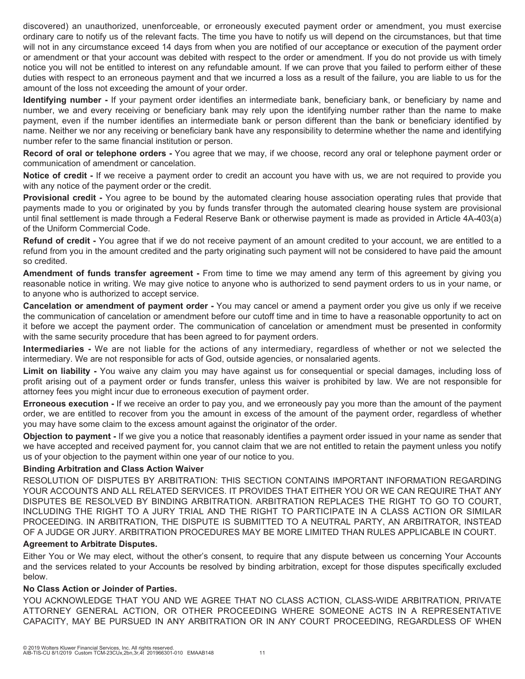discovered) an unauthorized, unenforceable, or erroneously executed payment order or amendment, you must exercise ordinary care to notify us of the relevant facts. The time you have to notify us will depend on the circumstances, but that time will not in any circumstance exceed 14 days from when you are notified of our acceptance or execution of the payment order or amendment or that your account was debited with respect to the order or amendment. If you do not provide us with timely notice you will not be entitled to interest on any refundable amount. If we can prove that you failed to perform either of these duties with respect to an erroneous payment and that we incurred a loss as a result of the failure, you are liable to us for the amount of the loss not exceeding the amount of your order.

**Identifying number -** If your payment order identifies an intermediate bank, beneficiary bank, or beneficiary by name and number, we and every receiving or beneficiary bank may rely upon the identifying number rather than the name to make payment, even if the number identifies an intermediate bank or person different than the bank or beneficiary identified by name. Neither we nor any receiving or beneficiary bank have any responsibility to determine whether the name and identifying number refer to the same financial institution or person.

**Record of oral or telephone orders -** You agree that we may, if we choose, record any oral or telephone payment order or communication of amendment or cancelation.

**Notice of credit -** If we receive a payment order to credit an account you have with us, we are not required to provide you with any notice of the payment order or the credit.

**Provisional credit -** You agree to be bound by the automated clearing house association operating rules that provide that payments made to you or originated by you by funds transfer through the automated clearing house system are provisional until final settlement is made through a Federal Reserve Bank or otherwise payment is made as provided in Article 4A-403(a) of the Uniform Commercial Code.

**Refund of credit -** You agree that if we do not receive payment of an amount credited to your account, we are entitled to a refund from you in the amount credited and the party originating such payment will not be considered to have paid the amount so credited.

**Amendment of funds transfer agreement -** From time to time we may amend any term of this agreement by giving you reasonable notice in writing. We may give notice to anyone who is authorized to send payment orders to us in your name, or to anyone who is authorized to accept service.

**Cancelation or amendment of payment order -** You may cancel or amend a payment order you give us only if we receive the communication of cancelation or amendment before our cutoff time and in time to have a reasonable opportunity to act on it before we accept the payment order. The communication of cancelation or amendment must be presented in conformity with the same security procedure that has been agreed to for payment orders.

**Intermediaries -** We are not liable for the actions of any intermediary, regardless of whether or not we selected the intermediary. We are not responsible for acts of God, outside agencies, or nonsalaried agents.

**Limit on liability -** You waive any claim you may have against us for consequential or special damages, including loss of profit arising out of a payment order or funds transfer, unless this waiver is prohibited by law. We are not responsible for attorney fees you might incur due to erroneous execution of payment order.

**Erroneous execution -** If we receive an order to pay you, and we erroneously pay you more than the amount of the payment order, we are entitled to recover from you the amount in excess of the amount of the payment order, regardless of whether you may have some claim to the excess amount against the originator of the order.

**Objection to payment -** If we give you a notice that reasonably identifies a payment order issued in your name as sender that we have accepted and received payment for, you cannot claim that we are not entitled to retain the payment unless you notify us of your objection to the payment within one year of our notice to you.

# **Binding Arbitration and Class Action Waiver**

RESOLUTION OF DISPUTES BY ARBITRATION: THIS SECTION CONTAINS IMPORTANT INFORMATION REGARDING YOUR ACCOUNTS AND ALL RELATED SERVICES. IT PROVIDES THAT EITHER YOU OR WE CAN REQUIRE THAT ANY DISPUTES BE RESOLVED BY BINDING ARBITRATION. ARBITRATION REPLACES THE RIGHT TO GO TO COURT, INCLUDING THE RIGHT TO A JURY TRIAL AND THE RIGHT TO PARTICIPATE IN A CLASS ACTION OR SIMILAR PROCEEDING. IN ARBITRATION, THE DISPUTE IS SUBMITTED TO A NEUTRAL PARTY, AN ARBITRATOR, INSTEAD OF A JUDGE OR JURY. ARBITRATION PROCEDURES MAY BE MORE LIMITED THAN RULES APPLICABLE IN COURT.

#### **Agreement to Arbitrate Disputes.**

Either You or We may elect, without the other's consent, to require that any dispute between us concerning Your Accounts and the services related to your Accounts be resolved by binding arbitration, except for those disputes specifically excluded below.

# **No Class Action or Joinder of Parties.**

YOU ACKNOWLEDGE THAT YOU AND WE AGREE THAT NO CLASS ACTION, CLASS-WIDE ARBITRATION, PRIVATE ATTORNEY GENERAL ACTION, OR OTHER PROCEEDING WHERE SOMEONE ACTS IN A REPRESENTATIVE CAPACITY, MAY BE PURSUED IN ANY ARBITRATION OR IN ANY COURT PROCEEDING, REGARDLESS OF WHEN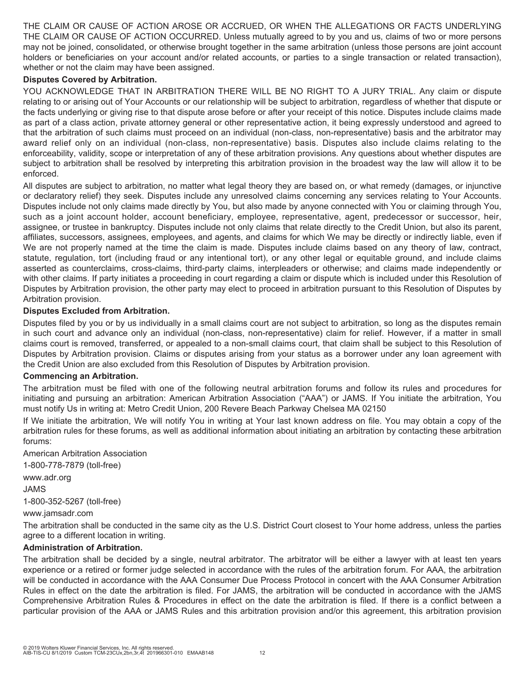THE CLAIM OR CAUSE OF ACTION AROSE OR ACCRUED, OR WHEN THE ALLEGATIONS OR FACTS UNDERLYING THE CLAIM OR CAUSE OF ACTION OCCURRED. Unless mutually agreed to by you and us, claims of two or more persons may not be joined, consolidated, or otherwise brought together in the same arbitration (unless those persons are joint account holders or beneficiaries on your account and/or related accounts, or parties to a single transaction or related transaction), whether or not the claim may have been assigned.

### **Disputes Covered by Arbitration.**

YOU ACKNOWLEDGE THAT IN ARBITRATION THERE WILL BE NO RIGHT TO A JURY TRIAL. Any claim or dispute relating to or arising out of Your Accounts or our relationship will be subject to arbitration, regardless of whether that dispute or the facts underlying or giving rise to that dispute arose before or after your receipt of this notice. Disputes include claims made as part of a class action, private attorney general or other representative action, it being expressly understood and agreed to that the arbitration of such claims must proceed on an individual (non-class, non-representative) basis and the arbitrator may award relief only on an individual (non-class, non-representative) basis. Disputes also include claims relating to the enforceability, validity, scope or interpretation of any of these arbitration provisions. Any questions about whether disputes are subject to arbitration shall be resolved by interpreting this arbitration provision in the broadest way the law will allow it to be enforced.

All disputes are subject to arbitration, no matter what legal theory they are based on, or what remedy (damages, or injunctive or declaratory relief) they seek. Disputes include any unresolved claims concerning any services relating to Your Accounts. Disputes include not only claims made directly by You, but also made by anyone connected with You or claiming through You, such as a joint account holder, account beneficiary, employee, representative, agent, predecessor or successor, heir, assignee, or trustee in bankruptcy. Disputes include not only claims that relate directly to the Credit Union, but also its parent, affiliates, successors, assignees, employees, and agents, and claims for which We may be directly or indirectly liable, even if We are not properly named at the time the claim is made. Disputes include claims based on any theory of law, contract, statute, regulation, tort (including fraud or any intentional tort), or any other legal or equitable ground, and include claims asserted as counterclaims, cross-claims, third-party claims, interpleaders or otherwise; and claims made independently or with other claims. If party initiates a proceeding in court regarding a claim or dispute which is included under this Resolution of Disputes by Arbitration provision, the other party may elect to proceed in arbitration pursuant to this Resolution of Disputes by Arbitration provision.

### **Disputes Excluded from Arbitration.**

Disputes filed by you or by us individually in a small claims court are not subject to arbitration, so long as the disputes remain in such court and advance only an individual (non-class, non-representative) claim for relief. However, if a matter in small claims court is removed, transferred, or appealed to a non-small claims court, that claim shall be subject to this Resolution of Disputes by Arbitration provision. Claims or disputes arising from your status as a borrower under any loan agreement with the Credit Union are also excluded from this Resolution of Disputes by Arbitration provision.

#### **Commencing an Arbitration.**

The arbitration must be filed with one of the following neutral arbitration forums and follow its rules and procedures for initiating and pursuing an arbitration: American Arbitration Association ("AAA") or JAMS. If You initiate the arbitration, You must notify Us in writing at: Metro Credit Union, 200 Revere Beach Parkway Chelsea MA 02150

If We initiate the arbitration, We will notify You in writing at Your last known address on file. You may obtain a copy of the arbitration rules for these forums, as well as additional information about initiating an arbitration by contacting these arbitration forums:

American Arbitration Association 1-800-778-7879 (toll-free)

www.adr.org JAMS 1-800-352-5267 (toll-free)

www.jamsadr.com

The arbitration shall be conducted in the same city as the U.S. District Court closest to Your home address, unless the parties agree to a different location in writing.

# **Administration of Arbitration.**

The arbitration shall be decided by a single, neutral arbitrator. The arbitrator will be either a lawyer with at least ten years experience or a retired or former judge selected in accordance with the rules of the arbitration forum. For AAA, the arbitration will be conducted in accordance with the AAA Consumer Due Process Protocol in concert with the AAA Consumer Arbitration Rules in effect on the date the arbitration is filed. For JAMS, the arbitration will be conducted in accordance with the JAMS Comprehensive Arbitration Rules & Procedures in effect on the date the arbitration is filed. If there is a conflict between a particular provision of the AAA or JAMS Rules and this arbitration provision and/or this agreement, this arbitration provision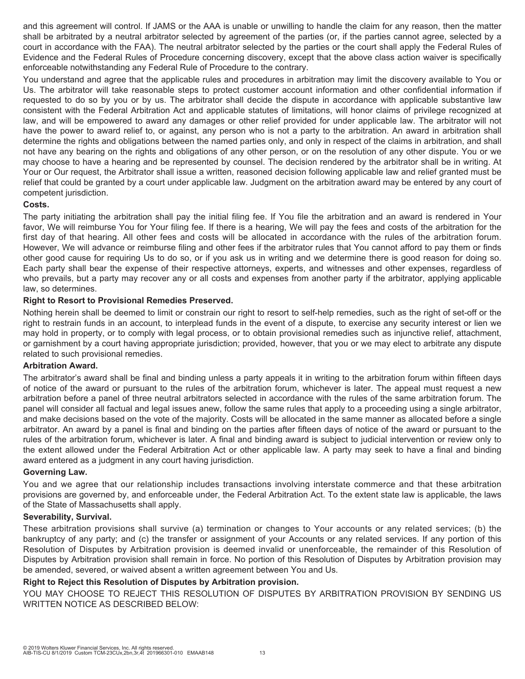and this agreement will control. If JAMS or the AAA is unable or unwilling to handle the claim for any reason, then the matter shall be arbitrated by a neutral arbitrator selected by agreement of the parties (or, if the parties cannot agree, selected by a court in accordance with the FAA). The neutral arbitrator selected by the parties or the court shall apply the Federal Rules of Evidence and the Federal Rules of Procedure concerning discovery, except that the above class action waiver is specifically enforceable notwithstanding any Federal Rule of Procedure to the contrary.

You understand and agree that the applicable rules and procedures in arbitration may limit the discovery available to You or Us. The arbitrator will take reasonable steps to protect customer account information and other confidential information if requested to do so by you or by us. The arbitrator shall decide the dispute in accordance with applicable substantive law consistent with the Federal Arbitration Act and applicable statutes of limitations, will honor claims of privilege recognized at law, and will be empowered to award any damages or other relief provided for under applicable law. The arbitrator will not have the power to award relief to, or against, any person who is not a party to the arbitration. An award in arbitration shall determine the rights and obligations between the named parties only, and only in respect of the claims in arbitration, and shall not have any bearing on the rights and obligations of any other person, or on the resolution of any other dispute. You or we may choose to have a hearing and be represented by counsel. The decision rendered by the arbitrator shall be in writing. At Your or Our request, the Arbitrator shall issue a written, reasoned decision following applicable law and relief granted must be relief that could be granted by a court under applicable law. Judgment on the arbitration award may be entered by any court of competent jurisdiction.

### **Costs.**

The party initiating the arbitration shall pay the initial filing fee. If You file the arbitration and an award is rendered in Your favor, We will reimburse You for Your filing fee. If there is a hearing, We will pay the fees and costs of the arbitration for the first day of that hearing. All other fees and costs will be allocated in accordance with the rules of the arbitration forum. However, We will advance or reimburse filing and other fees if the arbitrator rules that You cannot afford to pay them or finds other good cause for requiring Us to do so, or if you ask us in writing and we determine there is good reason for doing so. Each party shall bear the expense of their respective attorneys, experts, and witnesses and other expenses, regardless of who prevails, but a party may recover any or all costs and expenses from another party if the arbitrator, applying applicable law, so determines.

# **Right to Resort to Provisional Remedies Preserved.**

Nothing herein shall be deemed to limit or constrain our right to resort to self-help remedies, such as the right of set-off or the right to restrain funds in an account, to interplead funds in the event of a dispute, to exercise any security interest or lien we may hold in property, or to comply with legal process, or to obtain provisional remedies such as injunctive relief, attachment, or garnishment by a court having appropriate jurisdiction; provided, however, that you or we may elect to arbitrate any dispute related to such provisional remedies.

# **Arbitration Award.**

The arbitrator's award shall be final and binding unless a party appeals it in writing to the arbitration forum within fifteen days of notice of the award or pursuant to the rules of the arbitration forum, whichever is later. The appeal must request a new arbitration before a panel of three neutral arbitrators selected in accordance with the rules of the same arbitration forum. The panel will consider all factual and legal issues anew, follow the same rules that apply to a proceeding using a single arbitrator, and make decisions based on the vote of the majority. Costs will be allocated in the same manner as allocated before a single arbitrator. An award by a panel is final and binding on the parties after fifteen days of notice of the award or pursuant to the rules of the arbitration forum, whichever is later. A final and binding award is subject to judicial intervention or review only to the extent allowed under the Federal Arbitration Act or other applicable law. A party may seek to have a final and binding award entered as a judgment in any court having jurisdiction.

# **Governing Law.**

You and we agree that our relationship includes transactions involving interstate commerce and that these arbitration provisions are governed by, and enforceable under, the Federal Arbitration Act. To the extent state law is applicable, the laws of the State of Massachusetts shall apply.

# **Severability, Survival.**

These arbitration provisions shall survive (a) termination or changes to Your accounts or any related services; (b) the bankruptcy of any party; and (c) the transfer or assignment of your Accounts or any related services. If any portion of this Resolution of Disputes by Arbitration provision is deemed invalid or unenforceable, the remainder of this Resolution of Disputes by Arbitration provision shall remain in force. No portion of this Resolution of Disputes by Arbitration provision may be amended, severed, or waived absent a written agreement between You and Us.

# **Right to Reject this Resolution of Disputes by Arbitration provision.**

YOU MAY CHOOSE TO REJECT THIS RESOLUTION OF DISPUTES BY ARBITRATION PROVISION BY SENDING US WRITTEN NOTICE AS DESCRIBED BELOW: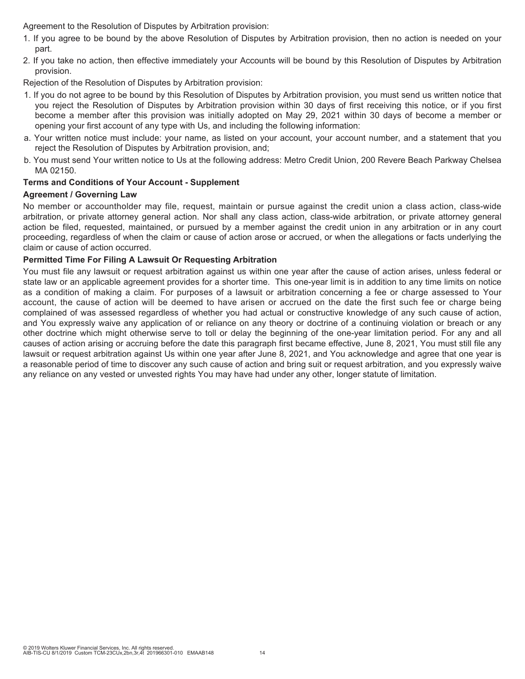Agreement to the Resolution of Disputes by Arbitration provision:

- 1. If you agree to be bound by the above Resolution of Disputes by Arbitration provision, then no action is needed on your part.
- 2. If you take no action, then effective immediately your Accounts will be bound by this Resolution of Disputes by Arbitration provision.

Rejection of the Resolution of Disputes by Arbitration provision:

- 1. If you do not agree to be bound by this Resolution of Disputes by Arbitration provision, you must send us written notice that you reject the Resolution of Disputes by Arbitration provision within 30 days of first receiving this notice, or if you first become a member after this provision was initially adopted on May 29, 2021 within 30 days of become a member or opening your first account of any type with Us, and including the following information:
- a. Your written notice must include: your name, as listed on your account, your account number, and a statement that you reject the Resolution of Disputes by Arbitration provision, and;
- b. You must send Your written notice to Us at the following address: Metro Credit Union, 200 Revere Beach Parkway Chelsea MA 02150.

# **Terms and Conditions of Your Account - Supplement**

# **Agreement / Governing Law**

No member or accountholder may file, request, maintain or pursue against the credit union a class action, class-wide arbitration, or private attorney general action. Nor shall any class action, class-wide arbitration, or private attorney general action be filed, requested, maintained, or pursued by a member against the credit union in any arbitration or in any court proceeding, regardless of when the claim or cause of action arose or accrued, or when the allegations or facts underlying the claim or cause of action occurred.

# **Permitted Time For Filing A Lawsuit Or Requesting Arbitration**

You must file any lawsuit or request arbitration against us within one year after the cause of action arises, unless federal or state law or an applicable agreement provides for a shorter time. This one-year limit is in addition to any time limits on notice as a condition of making a claim. For purposes of a lawsuit or arbitration concerning a fee or charge assessed to Your account, the cause of action will be deemed to have arisen or accrued on the date the first such fee or charge being complained of was assessed regardless of whether you had actual or constructive knowledge of any such cause of action, and You expressly waive any application of or reliance on any theory or doctrine of a continuing violation or breach or any other doctrine which might otherwise serve to toll or delay the beginning of the one-year limitation period. For any and all causes of action arising or accruing before the date this paragraph first became effective, June 8, 2021, You must still file any lawsuit or request arbitration against Us within one year after June 8, 2021, and You acknowledge and agree that one year is a reasonable period of time to discover any such cause of action and bring suit or request arbitration, and you expressly waive any reliance on any vested or unvested rights You may have had under any other, longer statute of limitation.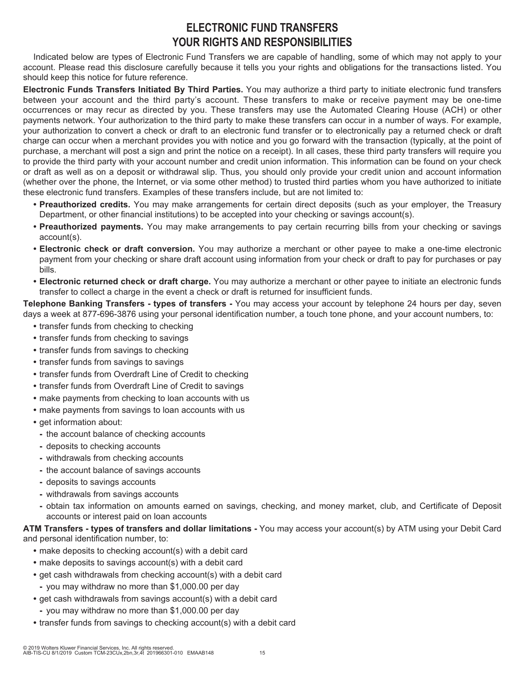# **ELECTRONIC FUND TRANSFERS YOUR RIGHTS AND RESPONSIBILITIES**

Indicated below are types of Electronic Fund Transfers we are capable of handling, some of which may not apply to your account. Please read this disclosure carefully because it tells you your rights and obligations for the transactions listed. You should keep this notice for future reference.

**Electronic Funds Transfers Initiated By Third Parties.** You may authorize a third party to initiate electronic fund transfers between your account and the third party's account. These transfers to make or receive payment may be one-time occurrences or may recur as directed by you. These transfers may use the Automated Clearing House (ACH) or other payments network. Your authorization to the third party to make these transfers can occur in a number of ways. For example, your authorization to convert a check or draft to an electronic fund transfer or to electronically pay a returned check or draft charge can occur when a merchant provides you with notice and you go forward with the transaction (typically, at the point of purchase, a merchant will post a sign and print the notice on a receipt). In all cases, these third party transfers will require you to provide the third party with your account number and credit union information. This information can be found on your check or draft as well as on a deposit or withdrawal slip. Thus, you should only provide your credit union and account information (whether over the phone, the Internet, or via some other method) to trusted third parties whom you have authorized to initiate these electronic fund transfers. Examples of these transfers include, but are not limited to:

- **Preauthorized credits.** You may make arrangements for certain direct deposits (such as your employer, the Treasury Department, or other financial institutions) to be accepted into your checking or savings account(s).
- **Preauthorized payments.** You may make arrangements to pay certain recurring bills from your checking or savings account(s).
- **Electronic check or draft conversion.** You may authorize a merchant or other payee to make a one-time electronic payment from your checking or share draft account using information from your check or draft to pay for purchases or pay bills.
- **Electronic returned check or draft charge.** You may authorize a merchant or other payee to initiate an electronic funds transfer to collect a charge in the event a check or draft is returned for insufficient funds.

**Telephone Banking Transfers - types of transfers -** You may access your account by telephone 24 hours per day, seven days a week at 877-696-3876 using your personal identification number, a touch tone phone, and your account numbers, to:

- **•** transfer funds from checking to checking
- **•** transfer funds from checking to savings
- **•** transfer funds from savings to checking
- **•** transfer funds from savings to savings
- **•** transfer funds from Overdraft Line of Credit to checking
- **•** transfer funds from Overdraft Line of Credit to savings
- **•** make payments from checking to loan accounts with us
- **•** make payments from savings to loan accounts with us
- **•** get information about:
- **-** the account balance of checking accounts
- **-** deposits to checking accounts
- **-** withdrawals from checking accounts
- **-** the account balance of savings accounts
- **-** deposits to savings accounts
- **-** withdrawals from savings accounts
- **-** obtain tax information on amounts earned on savings, checking, and money market, club, and Certificate of Deposit accounts or interest paid on loan accounts

**ATM Transfers - types of transfers and dollar limitations -** You may access your account(s) by ATM using your Debit Card and personal identification number, to:

- **•** make deposits to checking account(s) with a debit card
- **•** make deposits to savings account(s) with a debit card
- **•** get cash withdrawals from checking account(s) with a debit card
	- **-** you may withdraw no more than \$1,000.00 per day
- **•** get cash withdrawals from savings account(s) with a debit card
	- **-** you may withdraw no more than \$1,000.00 per day
- **•** transfer funds from savings to checking account(s) with a debit card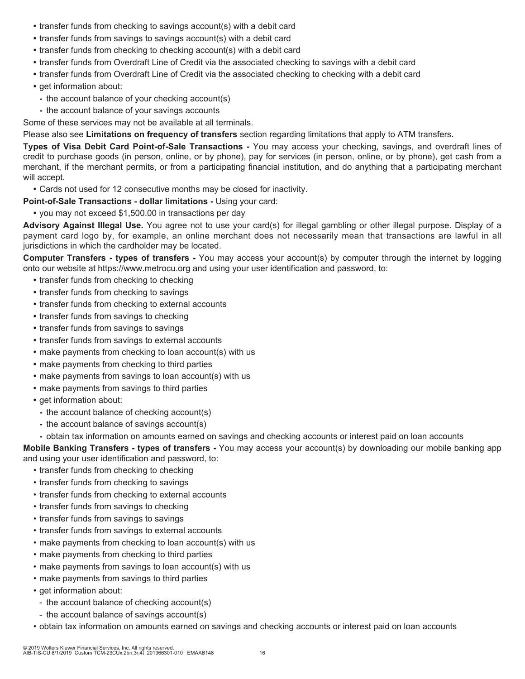- **•** transfer funds from checking to savings account(s) with a debit card
- **•** transfer funds from savings to savings account(s) with a debit card
- **•** transfer funds from checking to checking account(s) with a debit card
- **•** transfer funds from Overdraft Line of Credit via the associated checking to savings with a debit card
- **•** transfer funds from Overdraft Line of Credit via the associated checking to checking with a debit card
- get information about:
	- **-** the account balance of your checking account(s)
	- **-** the account balance of your savings accounts

Some of these services may not be available at all terminals.

Please also see **Limitations on frequency of transfers** section regarding limitations that apply to ATM transfers.

**Types of Visa Debit Card Point-of-Sale Transactions -** You may access your checking, savings, and overdraft lines of credit to purchase goods (in person, online, or by phone), pay for services (in person, online, or by phone), get cash from a merchant, if the merchant permits, or from a participating financial institution, and do anything that a participating merchant will accept.

**•** Cards not used for 12 consecutive months may be closed for inactivity.

**Point-of-Sale Transactions - dollar limitations -** Using your card:

**•** you may not exceed \$1,500.00 in transactions per day

**Advisory Against Illegal Use.** You agree not to use your card(s) for illegal gambling or other illegal purpose. Display of a payment card logo by, for example, an online merchant does not necessarily mean that transactions are lawful in all jurisdictions in which the cardholder may be located.

**Computer Transfers - types of transfers -** You may access your account(s) by computer through the internet by logging onto our website at https://www.metrocu.org and using your user identification and password, to:

- **•** transfer funds from checking to checking
- **•** transfer funds from checking to savings
- **•** transfer funds from checking to external accounts
- **•** transfer funds from savings to checking
- **•** transfer funds from savings to savings
- **•** transfer funds from savings to external accounts
- **•** make payments from checking to loan account(s) with us
- **•** make payments from checking to third parties
- **•** make payments from savings to loan account(s) with us
- **•** make payments from savings to third parties
- **•** get information about:
	- **-** the account balance of checking account(s)
	- **-** the account balance of savings account(s)
- **-** obtain tax information on amounts earned on savings and checking accounts or interest paid on loan accounts

**Mobile Banking Transfers - types of transfers -** You may access your account(s) by downloading our mobile banking app and using your user identification and password, to:

- transfer funds from checking to checking
- transfer funds from checking to savings
- transfer funds from checking to external accounts
- transfer funds from savings to checking
- transfer funds from savings to savings
- transfer funds from savings to external accounts
- make payments from checking to loan account(s) with us
- make payments from checking to third parties
- make payments from savings to loan account(s) with us
- make payments from savings to third parties
- get information about:
	- the account balance of checking account(s)
- the account balance of savings account(s)
- obtain tax information on amounts earned on savings and checking accounts or interest paid on loan accounts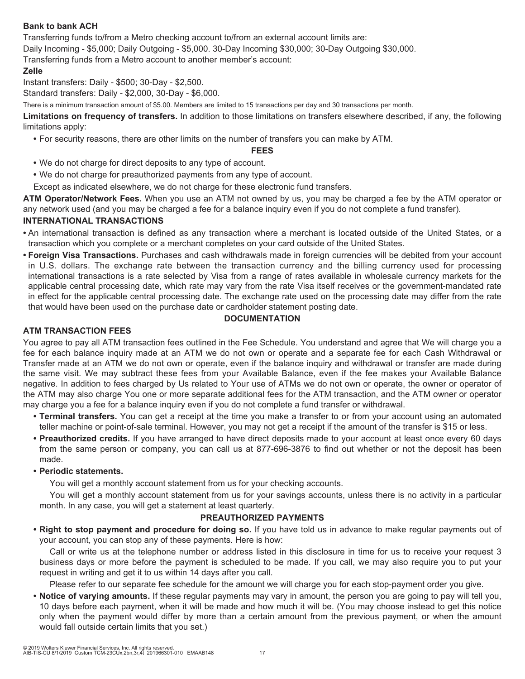# **Bank to bank ACH**

Transferring funds to/from a Metro checking account to/from an external account limits are:

Daily Incoming - \$5,000; Daily Outgoing - \$5,000. 30-Day Incoming \$30,000; 30-Day Outgoing \$30,000.

Transferring funds from a Metro account to another member's account:

# **Zelle**

Instant transfers: Daily - \$500; 30-Day - \$2,500.

Standard transfers: Daily - \$2,000, 30-Day - \$6,000.

There is a minimum transaction amount of \$5.00. Members are limited to 15 transactions per day and 30 transactions per month.

**Limitations on frequency of transfers.** In addition to those limitations on transfers elsewhere described, if any, the following limitations apply:

**•** For security reasons, there are other limits on the number of transfers you can make by ATM.

### **FEES**

- **•** We do not charge for direct deposits to any type of account.
- **•** We do not charge for preauthorized payments from any type of account.

Except as indicated elsewhere, we do not charge for these electronic fund transfers.

**ATM Operator/Network Fees.** When you use an ATM not owned by us, you may be charged a fee by the ATM operator or any network used (and you may be charged a fee for a balance inquiry even if you do not complete a fund transfer).

# **INTERNATIONAL TRANSACTIONS**

- **•** An international transaction is defined as any transaction where a merchant is located outside of the United States, or a transaction which you complete or a merchant completes on your card outside of the United States.
- **Foreign Visa Transactions.** Purchases and cash withdrawals made in foreign currencies will be debited from your account in U.S. dollars. The exchange rate between the transaction currency and the billing currency used for processing international transactions is a rate selected by Visa from a range of rates available in wholesale currency markets for the applicable central processing date, which rate may vary from the rate Visa itself receives or the government-mandated rate in effect for the applicable central processing date. The exchange rate used on the processing date may differ from the rate that would have been used on the purchase date or cardholder statement posting date.

# **DOCUMENTATION**

# **ATM TRANSACTION FEES**

You agree to pay all ATM transaction fees outlined in the Fee Schedule. You understand and agree that We will charge you a fee for each balance inquiry made at an ATM we do not own or operate and a separate fee for each Cash Withdrawal or Transfer made at an ATM we do not own or operate, even if the balance inquiry and withdrawal or transfer are made during the same visit. We may subtract these fees from your Available Balance, even if the fee makes your Available Balance negative. In addition to fees charged by Us related to Your use of ATMs we do not own or operate, the owner or operator of the ATM may also charge You one or more separate additional fees for the ATM transaction, and the ATM owner or operator may charge you a fee for a balance inquiry even if you do not complete a fund transfer or withdrawal.

- **Terminal transfers.** You can get a receipt at the time you make a transfer to or from your account using an automated teller machine or point-of-sale terminal. However, you may not get a receipt if the amount of the transfer is \$15 or less.
- **Preauthorized credits.** If you have arranged to have direct deposits made to your account at least once every 60 days from the same person or company, you can call us at 877-696-3876 to find out whether or not the deposit has been made.
- **Periodic statements.**

You will get a monthly account statement from us for your checking accounts.

You will get a monthly account statement from us for your savings accounts, unless there is no activity in a particular month. In any case, you will get a statement at least quarterly.

# **PREAUTHORIZED PAYMENTS**

**• Right to stop payment and procedure for doing so.** If you have told us in advance to make regular payments out of your account, you can stop any of these payments. Here is how:

Call or write us at the telephone number or address listed in this disclosure in time for us to receive your request 3 business days or more before the payment is scheduled to be made. If you call, we may also require you to put your request in writing and get it to us within 14 days after you call.

Please refer to our separate fee schedule for the amount we will charge you for each stop-payment order you give.

**• Notice of varying amounts.** If these regular payments may vary in amount, the person you are going to pay will tell you, 10 days before each payment, when it will be made and how much it will be. (You may choose instead to get this notice only when the payment would differ by more than a certain amount from the previous payment, or when the amount would fall outside certain limits that you set.)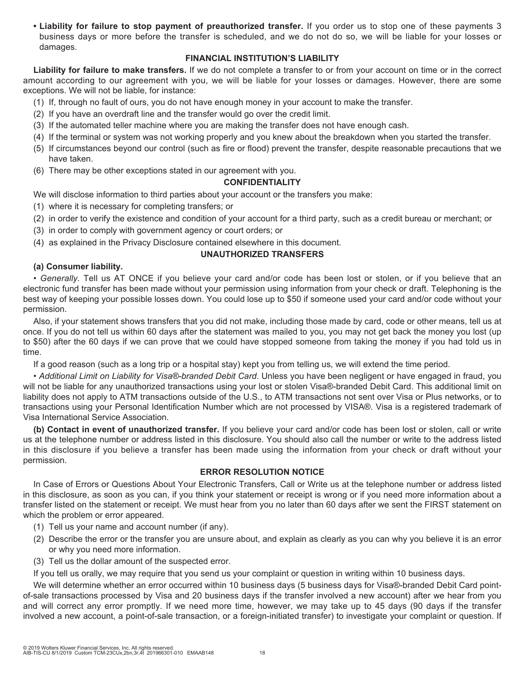**• Liability for failure to stop payment of preauthorized transfer.** If you order us to stop one of these payments 3 business days or more before the transfer is scheduled, and we do not do so, we will be liable for your losses or damages.

# **FINANCIAL INSTITUTION'S LIABILITY**

**Liability for failure to make transfers.** If we do not complete a transfer to or from your account on time or in the correct amount according to our agreement with you, we will be liable for your losses or damages. However, there are some exceptions. We will not be liable, for instance:

- (1) If, through no fault of ours, you do not have enough money in your account to make the transfer.
- (2) If you have an overdraft line and the transfer would go over the credit limit.
- (3) If the automated teller machine where you are making the transfer does not have enough cash.
- (4) If the terminal or system was not working properly and you knew about the breakdown when you started the transfer.
- (5) If circumstances beyond our control (such as fire or flood) prevent the transfer, despite reasonable precautions that we have taken.
- (6) There may be other exceptions stated in our agreement with you.

# **CONFIDENTIALITY**

We will disclose information to third parties about your account or the transfers you make:

- (1) where it is necessary for completing transfers; or
- (2) in order to verify the existence and condition of your account for a third party, such as a credit bureau or merchant; or
- (3) in order to comply with government agency or court orders; or
- (4) as explained in the Privacy Disclosure contained elsewhere in this document.

# **UNAUTHORIZED TRANSFERS**

# **(a) Consumer liability.**

*• Generally.* Tell us AT ONCE if you believe your card and/or code has been lost or stolen, or if you believe that an electronic fund transfer has been made without your permission using information from your check or draft. Telephoning is the best way of keeping your possible losses down. You could lose up to \$50 if someone used your card and/or code without your permission.

Also, if your statement shows transfers that you did not make, including those made by card, code or other means, tell us at once. If you do not tell us within 60 days after the statement was mailed to you, you may not get back the money you lost (up to \$50) after the 60 days if we can prove that we could have stopped someone from taking the money if you had told us in time.

If a good reason (such as a long trip or a hospital stay) kept you from telling us, we will extend the time period.

*• Additional Limit on Liability for Visa®-branded Debit Card*. Unless you have been negligent or have engaged in fraud, you will not be liable for any unauthorized transactions using your lost or stolen Visa®-branded Debit Card. This additional limit on liability does not apply to ATM transactions outside of the U.S., to ATM transactions not sent over Visa or Plus networks, or to transactions using your Personal Identification Number which are not processed by VISA®. Visa is a registered trademark of Visa International Service Association.

**(b) Contact in event of unauthorized transfer.** If you believe your card and/or code has been lost or stolen, call or write us at the telephone number or address listed in this disclosure. You should also call the number or write to the address listed in this disclosure if you believe a transfer has been made using the information from your check or draft without your permission.

# **ERROR RESOLUTION NOTICE**

In Case of Errors or Questions About Your Electronic Transfers, Call or Write us at the telephone number or address listed in this disclosure, as soon as you can, if you think your statement or receipt is wrong or if you need more information about a transfer listed on the statement or receipt. We must hear from you no later than 60 days after we sent the FIRST statement on which the problem or error appeared.

- (1) Tell us your name and account number (if any).
- (2) Describe the error or the transfer you are unsure about, and explain as clearly as you can why you believe it is an error or why you need more information.
- (3) Tell us the dollar amount of the suspected error.

If you tell us orally, we may require that you send us your complaint or question in writing within 10 business days.

We will determine whether an error occurred within 10 business days (5 business days for Visa®-branded Debit Card pointof-sale transactions processed by Visa and 20 business days if the transfer involved a new account) after we hear from you and will correct any error promptly. If we need more time, however, we may take up to 45 days (90 days if the transfer involved a new account, a point-of-sale transaction, or a foreign-initiated transfer) to investigate your complaint or question. If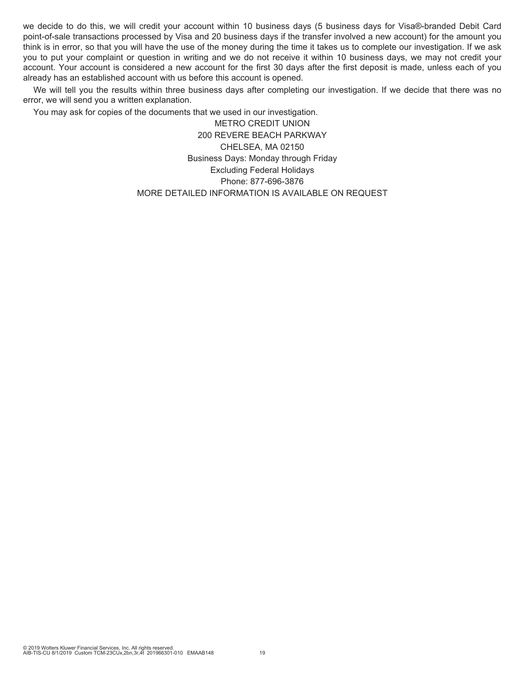we decide to do this, we will credit your account within 10 business days (5 business days for Visa®-branded Debit Card point-of-sale transactions processed by Visa and 20 business days if the transfer involved a new account) for the amount you think is in error, so that you will have the use of the money during the time it takes us to complete our investigation. If we ask you to put your complaint or question in writing and we do not receive it within 10 business days, we may not credit your account. Your account is considered a new account for the first 30 days after the first deposit is made, unless each of you already has an established account with us before this account is opened.

We will tell you the results within three business days after completing our investigation. If we decide that there was no error, we will send you a written explanation.

You may ask for copies of the documents that we used in our investigation.

METRO CREDIT UNION 200 REVERE BEACH PARKWAY CHELSEA, MA 02150 Business Days: Monday through Friday Excluding Federal Holidays Phone: 877-696-3876 MORE DETAILED INFORMATION IS AVAILABLE ON REQUEST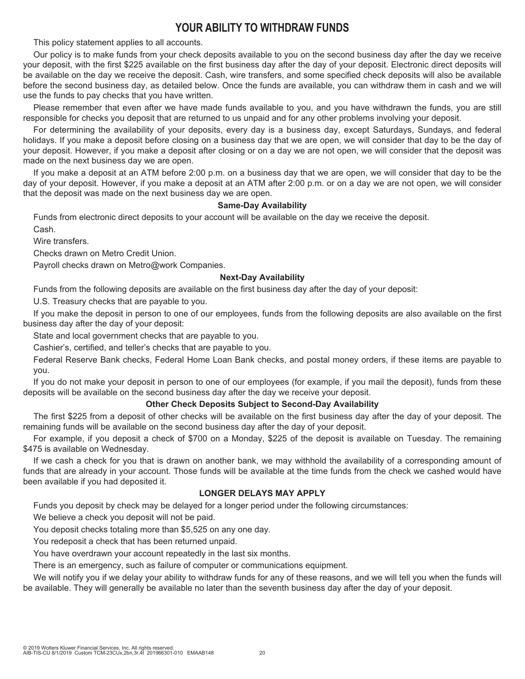# **YOUR ABILITY TO WITHDRAW FUNDS**

This policy statement applies to all accounts.

Our policy is to make funds from your check deposits available to you on the second business day after the day we receive your deposit, with the first \$225 available on the first business day after the day of your deposit. Electronic direct deposits will be available on the day we receive the deposit. Cash, wire transfers, and some specified check deposits will also be available before the second business day, as detailed below. Once the funds are available, you can withdraw them in cash and we will use the funds to pay checks that you have written.

Please remember that even after we have made funds available to you, and you have withdrawn the funds, you are still responsible for checks you deposit that are returned to us unpaid and for any other problems involving your deposit.

For determining the availability of your deposits, every day is a business day, except Saturdays, Sundays, and federal holidays. If you make a deposit before closing on a business day that we are open, we will consider that day to be the day of your deposit. However, if you make a deposit after closing or on a day we are not open, we will consider that the deposit was made on the next business day we are open.

If you make a deposit at an ATM before 2:00 p.m. on a business day that we are open, we will consider that day to be the day of your deposit. However, if you make a deposit at an ATM after 2:00 p.m. or on a day we are not open, we will consider that the deposit was made on the next business day we are open.

### **Same-Day Availability**

Funds from electronic direct deposits to your account will be available on the day we receive the deposit. Cash.

Wire transfers.

Checks drawn on Metro Credit Union.

Payroll checks drawn on Metro@work Companies.

### **Next-Day Availability**

Funds from the following deposits are available on the first business day after the day of your deposit:

U.S. Treasury checks that are payable to you.

If you make the deposit in person to one of our employees, funds from the following deposits are also available on the first business day after the day of your deposit:

State and local government checks that are payable to you.

Cashier's, certified, and teller's checks that are payable to you.

Federal Reserve Bank checks, Federal Home Loan Bank checks, and postal money orders, if these items are payable to you.

If you do not make your deposit in person to one of our employees (for example, if you mail the deposit), funds from these deposits will be available on the second business day after the day we receive your deposit.

# **Other Check Deposits Subject to Second-Day Availability**

The first \$225 from a deposit of other checks will be available on the first business day after the day of your deposit. The remaining funds will be available on the second business day after the day of your deposit.

For example, if you deposit a check of \$700 on a Monday, \$225 of the deposit is available on Tuesday. The remaining \$475 is available on Wednesday.

If we cash a check for you that is drawn on another bank, we may withhold the availability of a corresponding amount of funds that are already in your account. Those funds will be available at the time funds from the check we cashed would have been available if you had deposited it.

#### **LONGER DELAYS MAY APPLY**

Funds you deposit by check may be delayed for a longer period under the following circumstances:

We believe a check you deposit will not be paid.

You deposit checks totaling more than \$5,525 on any one day.

You redeposit a check that has been returned unpaid.

You have overdrawn your account repeatedly in the last six months.

There is an emergency, such as failure of computer or communications equipment.

We will notify you if we delay your ability to withdraw funds for any of these reasons, and we will tell you when the funds will be available. They will generally be available no later than the seventh business day after the day of your deposit.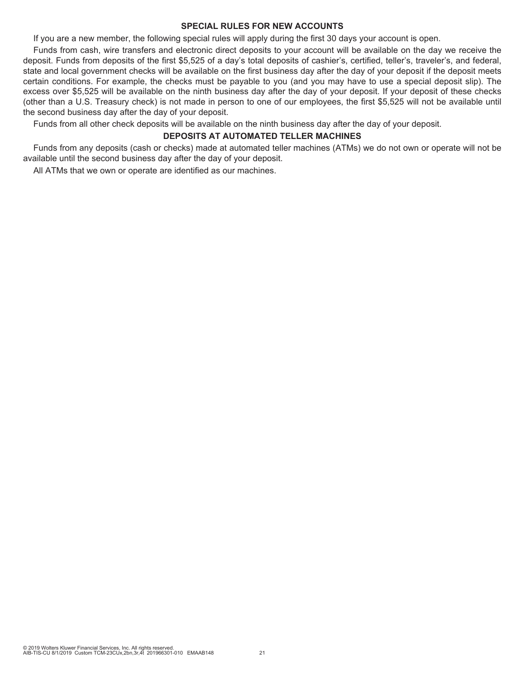### **SPECIAL RULES FOR NEW ACCOUNTS**

If you are a new member, the following special rules will apply during the first 30 days your account is open.

Funds from cash, wire transfers and electronic direct deposits to your account will be available on the day we receive the deposit. Funds from deposits of the first \$5,525 of a day's total deposits of cashier's, certified, teller's, traveler's, and federal, state and local government checks will be available on the first business day after the day of your deposit if the deposit meets certain conditions. For example, the checks must be payable to you (and you may have to use a special deposit slip). The excess over \$5,525 will be available on the ninth business day after the day of your deposit. If your deposit of these checks (other than a U.S. Treasury check) is not made in person to one of our employees, the first \$5,525 will not be available until the second business day after the day of your deposit.

Funds from all other check deposits will be available on the ninth business day after the day of your deposit.

#### **DEPOSITS AT AUTOMATED TELLER MACHINES**

Funds from any deposits (cash or checks) made at automated teller machines (ATMs) we do not own or operate will not be available until the second business day after the day of your deposit.

All ATMs that we own or operate are identified as our machines.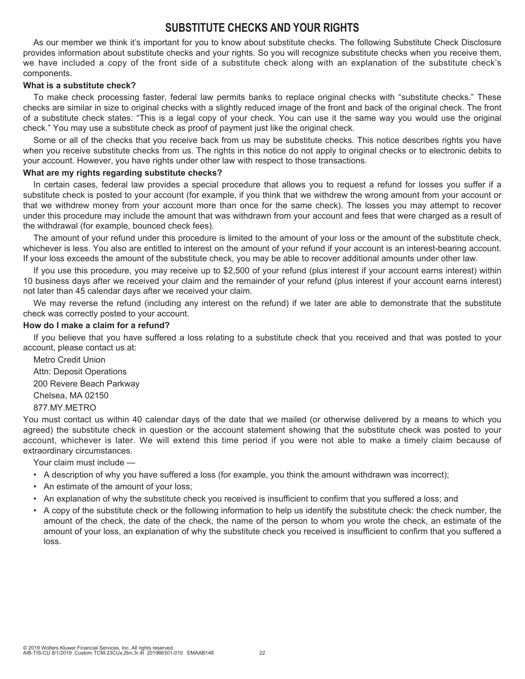# **SUBSTITUTE CHECKS AND YOUR RIGHTS**

As our member we think it's important for you to know about substitute checks. The following Substitute Check Disclosure provides information about substitute checks and your rights. So you will recognize substitute checks when you receive them, we have included a copy of the front side of a substitute check along with an explanation of the substitute check's components.

### **What is a substitute check?**

To make check processing faster, federal law permits banks to replace original checks with "substitute checks." These checks are similar in size to original checks with a slightly reduced image of the front and back of the original check. The front of a substitute check states: "This is a legal copy of your check. You can use it the same way you would use the original check." You may use a substitute check as proof of payment just like the original check.

Some or all of the checks that you receive back from us may be substitute checks. This notice describes rights you have when you receive substitute checks from us. The rights in this notice do not apply to original checks or to electronic debits to your account. However, you have rights under other law with respect to those transactions.

### **What are my rights regarding substitute checks?**

In certain cases, federal law provides a special procedure that allows you to request a refund for losses you suffer if a substitute check is posted to your account (for example, if you think that we withdrew the wrong amount from your account or that we withdrew money from your account more than once for the same check). The losses you may attempt to recover under this procedure may include the amount that was withdrawn from your account and fees that were charged as a result of the withdrawal (for example, bounced check fees).

The amount of your refund under this procedure is limited to the amount of your loss or the amount of the substitute check, whichever is less. You also are entitled to interest on the amount of your refund if your account is an interest-bearing account. If your loss exceeds the amount of the substitute check, you may be able to recover additional amounts under other law.

If you use this procedure, you may receive up to \$2,500 of your refund (plus interest if your account earns interest) within 10 business days after we received your claim and the remainder of your refund (plus interest if your account earns interest) not later than 45 calendar days after we received your claim.

We may reverse the refund (including any interest on the refund) if we later are able to demonstrate that the substitute check was correctly posted to your account.

### **How do I make a claim for a refund?**

If you believe that you have suffered a loss relating to a substitute check that you received and that was posted to your account, please contact us at:

Metro Credit Union Attn: Deposit Operations 200 Revere Beach Parkway Chelsea, MA 02150 877.MY.METRO

You must contact us within 40 calendar days of the date that we mailed (or otherwise delivered by a means to which you agreed) the substitute check in question or the account statement showing that the substitute check was posted to your account, whichever is later. We will extend this time period if you were not able to make a timely claim because of extraordinary circumstances.

Your claim must include —

- A description of why you have suffered a loss (for example, you think the amount withdrawn was incorrect);
- An estimate of the amount of your loss;
- An explanation of why the substitute check you received is insufficient to confirm that you suffered a loss; and
- A copy of the substitute check or the following information to help us identify the substitute check: the check number, the amount of the check, the date of the check, the name of the person to whom you wrote the check, an estimate of the amount of your loss, an explanation of why the substitute check you received is insufficient to confirm that you suffered a loss.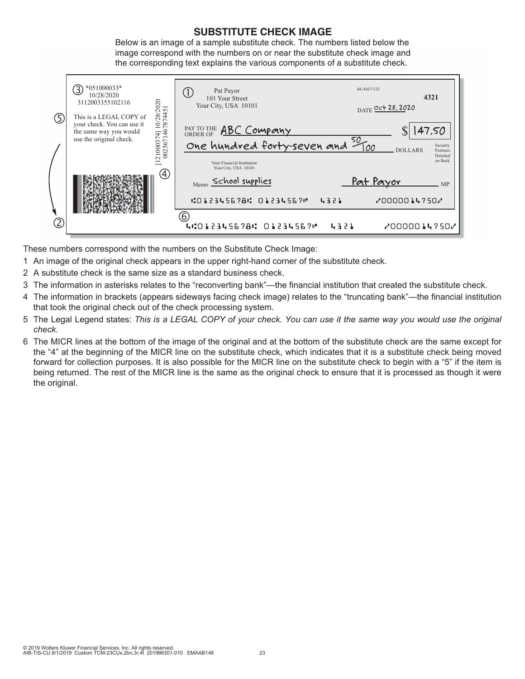# **SUBSTITUTE CHECK IMAGE**

Below is an image of a sample substitute check. The numbers listed below the image correspond with the numbers on or near the substitute check image and the corresponding text explains the various components of a substitute check.



These numbers correspond with the numbers on the Substitute Check Image:

- 1 An image of the original check appears in the upper right-hand corner of the substitute check.
- 2 A substitute check is the same size as a standard business check.
- 3 The information in asterisks relates to the "reconverting bank"—the financial institution that created the substitute check.
- 4 The information in brackets (appears sideways facing check image) relates to the "truncating bank"—the financial institution that took the original check out of the check processing system.
- 5 The Legal Legend states: *This is a LEGAL COPY of your check. You can use it the same way you would use the original check.*
- 6 The MICR lines at the bottom of the image of the original and at the bottom of the substitute check are the same except for the "4" at the beginning of the MICR line on the substitute check, which indicates that it is a substitute check being moved forward for collection purposes. It is also possible for the MICR line on the substitute check to begin with a "5" if the item is being returned. The rest of the MICR line is the same as the original check to ensure that it is processed as though it were the original.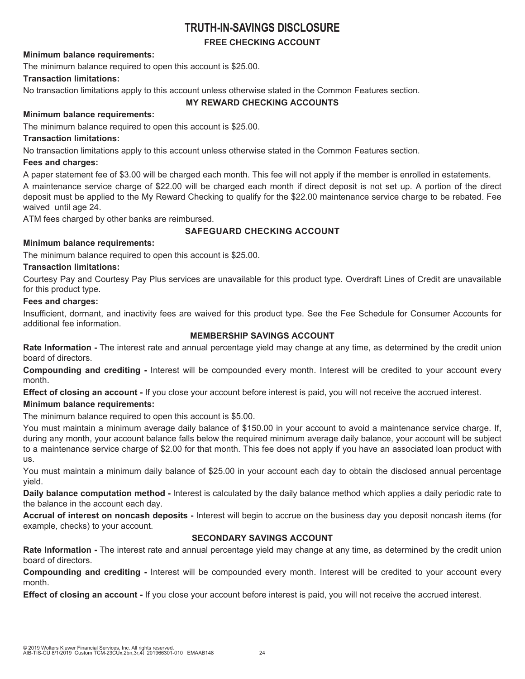# **TRUTH-IN-SAVINGS DISCLOSURE**

# **FREE CHECKING ACCOUNT**

# **Minimum balance requirements:**

The minimum balance required to open this account is \$25.00.

# **Transaction limitations:**

No transaction limitations apply to this account unless otherwise stated in the Common Features section.

# **MY REWARD CHECKING ACCOUNTS**

# **Minimum balance requirements:**

The minimum balance required to open this account is \$25.00.

# **Transaction limitations:**

No transaction limitations apply to this account unless otherwise stated in the Common Features section.

# **Fees and charges:**

A paper statement fee of \$3.00 will be charged each month. This fee will not apply if the member is enrolled in estatements.

A maintenance service charge of \$22.00 will be charged each month if direct deposit is not set up. A portion of the direct deposit must be applied to the My Reward Checking to qualify for the \$22.00 maintenance service charge to be rebated. Fee waived until age 24.

ATM fees charged by other banks are reimbursed.

# **SAFEGUARD CHECKING ACCOUNT**

# **Minimum balance requirements:**

The minimum balance required to open this account is \$25.00.

# **Transaction limitations:**

Courtesy Pay and Courtesy Pay Plus services are unavailable for this product type. Overdraft Lines of Credit are unavailable for this product type.

# **Fees and charges:**

Insufficient, dormant, and inactivity fees are waived for this product type. See the Fee Schedule for Consumer Accounts for additional fee information.

# **MEMBERSHIP SAVINGS ACCOUNT**

**Rate Information -** The interest rate and annual percentage yield may change at any time, as determined by the credit union board of directors.

**Compounding and crediting -** Interest will be compounded every month. Interest will be credited to your account every month.

**Effect of closing an account -** If you close your account before interest is paid, you will not receive the accrued interest.

# **Minimum balance requirements:**

The minimum balance required to open this account is \$5.00.

You must maintain a minimum average daily balance of \$150.00 in your account to avoid a maintenance service charge. If, during any month, your account balance falls below the required minimum average daily balance, your account will be subject to a maintenance service charge of \$2.00 for that month. This fee does not apply if you have an associated loan product with us.

You must maintain a minimum daily balance of \$25.00 in your account each day to obtain the disclosed annual percentage yield.

**Daily balance computation method -** Interest is calculated by the daily balance method which applies a daily periodic rate to the balance in the account each day.

**Accrual of interest on noncash deposits -** Interest will begin to accrue on the business day you deposit noncash items (for example, checks) to your account.

# **SECONDARY SAVINGS ACCOUNT**

**Rate Information -** The interest rate and annual percentage yield may change at any time, as determined by the credit union board of directors.

**Compounding and crediting -** Interest will be compounded every month. Interest will be credited to your account every month.

**Effect of closing an account -** If you close your account before interest is paid, you will not receive the accrued interest.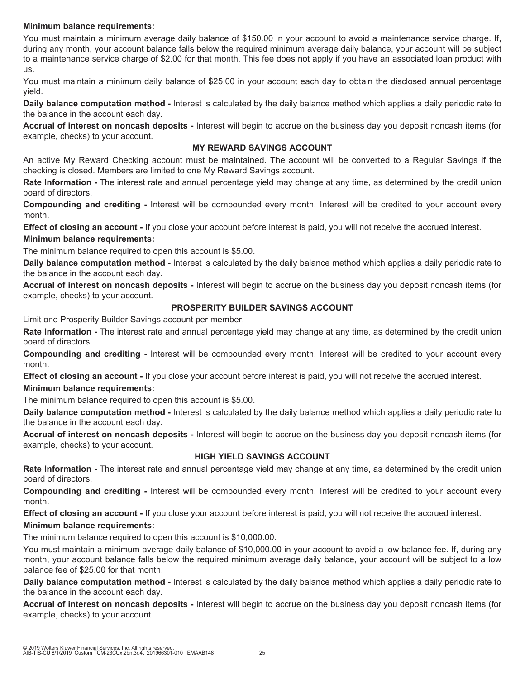# **Minimum balance requirements:**

You must maintain a minimum average daily balance of \$150.00 in your account to avoid a maintenance service charge. If, during any month, your account balance falls below the required minimum average daily balance, your account will be subject to a maintenance service charge of \$2.00 for that month. This fee does not apply if you have an associated loan product with us.

You must maintain a minimum daily balance of \$25.00 in your account each day to obtain the disclosed annual percentage yield.

**Daily balance computation method -** Interest is calculated by the daily balance method which applies a daily periodic rate to the balance in the account each day.

**Accrual of interest on noncash deposits -** Interest will begin to accrue on the business day you deposit noncash items (for example, checks) to your account.

### **MY REWARD SAVINGS ACCOUNT**

An active My Reward Checking account must be maintained. The account will be converted to a Regular Savings if the checking is closed. Members are limited to one My Reward Savings account.

**Rate Information -** The interest rate and annual percentage yield may change at any time, as determined by the credit union board of directors.

**Compounding and crediting -** Interest will be compounded every month. Interest will be credited to your account every month.

**Effect of closing an account -** If you close your account before interest is paid, you will not receive the accrued interest. **Minimum balance requirements:**

The minimum balance required to open this account is \$5.00.

**Daily balance computation method -** Interest is calculated by the daily balance method which applies a daily periodic rate to the balance in the account each day.

**Accrual of interest on noncash deposits -** Interest will begin to accrue on the business day you deposit noncash items (for example, checks) to your account.

# **PROSPERITY BUILDER SAVINGS ACCOUNT**

Limit one Prosperity Builder Savings account per member.

**Rate Information -** The interest rate and annual percentage yield may change at any time, as determined by the credit union board of directors.

**Compounding and crediting -** Interest will be compounded every month. Interest will be credited to your account every month.

**Effect of closing an account -** If you close your account before interest is paid, you will not receive the accrued interest.

# **Minimum balance requirements:**

The minimum balance required to open this account is \$5.00.

**Daily balance computation method -** Interest is calculated by the daily balance method which applies a daily periodic rate to the balance in the account each day.

**Accrual of interest on noncash deposits -** Interest will begin to accrue on the business day you deposit noncash items (for example, checks) to your account.

# **HIGH YIELD SAVINGS ACCOUNT**

**Rate Information -** The interest rate and annual percentage yield may change at any time, as determined by the credit union board of directors.

**Compounding and crediting -** Interest will be compounded every month. Interest will be credited to your account every month.

**Effect of closing an account -** If you close your account before interest is paid, you will not receive the accrued interest.

# **Minimum balance requirements:**

The minimum balance required to open this account is \$10,000.00.

You must maintain a minimum average daily balance of \$10,000.00 in your account to avoid a low balance fee. If, during any month, your account balance falls below the required minimum average daily balance, your account will be subject to a low balance fee of \$25.00 for that month.

**Daily balance computation method -** Interest is calculated by the daily balance method which applies a daily periodic rate to the balance in the account each day.

**Accrual of interest on noncash deposits -** Interest will begin to accrue on the business day you deposit noncash items (for example, checks) to your account.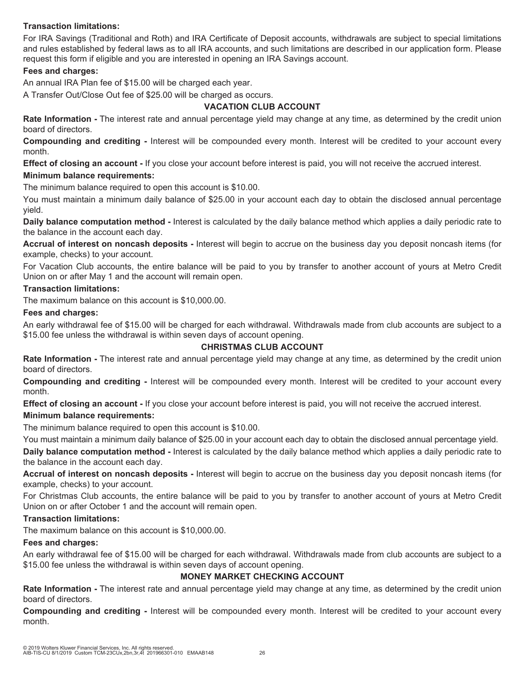# **Transaction limitations:**

For IRA Savings (Traditional and Roth) and IRA Certificate of Deposit accounts, withdrawals are subject to special limitations and rules established by federal laws as to all IRA accounts, and such limitations are described in our application form. Please request this form if eligible and you are interested in opening an IRA Savings account.

# **Fees and charges:**

An annual IRA Plan fee of \$15.00 will be charged each year.

A Transfer Out/Close Out fee of \$25.00 will be charged as occurs.

### **VACATION CLUB ACCOUNT**

**Rate Information -** The interest rate and annual percentage yield may change at any time, as determined by the credit union board of directors.

**Compounding and crediting -** Interest will be compounded every month. Interest will be credited to your account every month.

**Effect of closing an account -** If you close your account before interest is paid, you will not receive the accrued interest.

### **Minimum balance requirements:**

The minimum balance required to open this account is \$10.00.

You must maintain a minimum daily balance of \$25.00 in your account each day to obtain the disclosed annual percentage yield.

**Daily balance computation method -** Interest is calculated by the daily balance method which applies a daily periodic rate to the balance in the account each day.

**Accrual of interest on noncash deposits -** Interest will begin to accrue on the business day you deposit noncash items (for example, checks) to your account.

For Vacation Club accounts, the entire balance will be paid to you by transfer to another account of yours at Metro Credit Union on or after May 1 and the account will remain open.

#### **Transaction limitations:**

The maximum balance on this account is \$10,000.00.

#### **Fees and charges:**

An early withdrawal fee of \$15.00 will be charged for each withdrawal. Withdrawals made from club accounts are subject to a \$15.00 fee unless the withdrawal is within seven days of account opening.

# **CHRISTMAS CLUB ACCOUNT**

**Rate Information -** The interest rate and annual percentage yield may change at any time, as determined by the credit union board of directors.

**Compounding and crediting -** Interest will be compounded every month. Interest will be credited to your account every month.

**Effect of closing an account -** If you close your account before interest is paid, you will not receive the accrued interest.

# **Minimum balance requirements:**

The minimum balance required to open this account is \$10.00.

You must maintain a minimum daily balance of \$25.00 in your account each day to obtain the disclosed annual percentage yield.

**Daily balance computation method -** Interest is calculated by the daily balance method which applies a daily periodic rate to the balance in the account each day.

**Accrual of interest on noncash deposits -** Interest will begin to accrue on the business day you deposit noncash items (for example, checks) to your account.

For Christmas Club accounts, the entire balance will be paid to you by transfer to another account of yours at Metro Credit Union on or after October 1 and the account will remain open.

#### **Transaction limitations:**

The maximum balance on this account is \$10,000.00.

#### **Fees and charges:**

An early withdrawal fee of \$15.00 will be charged for each withdrawal. Withdrawals made from club accounts are subject to a \$15.00 fee unless the withdrawal is within seven days of account opening.

#### **MONEY MARKET CHECKING ACCOUNT**

**Rate Information -** The interest rate and annual percentage yield may change at any time, as determined by the credit union board of directors.

**Compounding and crediting -** Interest will be compounded every month. Interest will be credited to your account every month.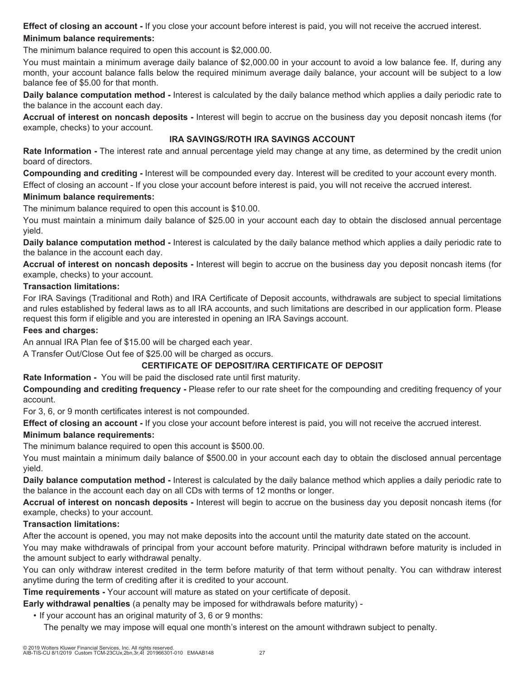**Effect of closing an account -** If you close your account before interest is paid, you will not receive the accrued interest. **Minimum balance requirements:**

The minimum balance required to open this account is \$2,000.00.

You must maintain a minimum average daily balance of \$2,000.00 in your account to avoid a low balance fee. If, during any month, your account balance falls below the required minimum average daily balance, your account will be subject to a low balance fee of \$5.00 for that month.

**Daily balance computation method -** Interest is calculated by the daily balance method which applies a daily periodic rate to the balance in the account each day.

**Accrual of interest on noncash deposits -** Interest will begin to accrue on the business day you deposit noncash items (for example, checks) to your account.

# **IRA SAVINGS/ROTH IRA SAVINGS ACCOUNT**

**Rate Information -** The interest rate and annual percentage yield may change at any time, as determined by the credit union board of directors.

**Compounding and crediting -** Interest will be compounded every day. Interest will be credited to your account every month.

Effect of closing an account - If you close your account before interest is paid, you will not receive the accrued interest.

# **Minimum balance requirements:**

The minimum balance required to open this account is \$10.00.

You must maintain a minimum daily balance of \$25.00 in your account each day to obtain the disclosed annual percentage yield.

**Daily balance computation method -** Interest is calculated by the daily balance method which applies a daily periodic rate to the balance in the account each day.

**Accrual of interest on noncash deposits -** Interest will begin to accrue on the business day you deposit noncash items (for example, checks) to your account.

# **Transaction limitations:**

For IRA Savings (Traditional and Roth) and IRA Certificate of Deposit accounts, withdrawals are subject to special limitations and rules established by federal laws as to all IRA accounts, and such limitations are described in our application form. Please request this form if eligible and you are interested in opening an IRA Savings account.

# **Fees and charges:**

An annual IRA Plan fee of \$15.00 will be charged each year.

A Transfer Out/Close Out fee of \$25.00 will be charged as occurs.

# **CERTIFICATE OF DEPOSIT/IRA CERTIFICATE OF DEPOSIT**

**Rate Information -** You will be paid the disclosed rate until first maturity.

**Compounding and crediting frequency -** Please refer to our rate sheet for the compounding and crediting frequency of your account.

For 3, 6, or 9 month certificates interest is not compounded.

**Effect of closing an account -** If you close your account before interest is paid, you will not receive the accrued interest.

# **Minimum balance requirements:**

The minimum balance required to open this account is \$500.00.

You must maintain a minimum daily balance of \$500.00 in your account each day to obtain the disclosed annual percentage yield.

**Daily balance computation method -** Interest is calculated by the daily balance method which applies a daily periodic rate to the balance in the account each day on all CDs with terms of 12 months or longer.

**Accrual of interest on noncash deposits -** Interest will begin to accrue on the business day you deposit noncash items (for example, checks) to your account.

# **Transaction limitations:**

After the account is opened, you may not make deposits into the account until the maturity date stated on the account.

You may make withdrawals of principal from your account before maturity. Principal withdrawn before maturity is included in the amount subject to early withdrawal penalty.

You can only withdraw interest credited in the term before maturity of that term without penalty. You can withdraw interest anytime during the term of crediting after it is credited to your account.

**Time requirements -** Your account will mature as stated on your certificate of deposit.

**Early withdrawal penalties** (a penalty may be imposed for withdrawals before maturity) -

• If your account has an original maturity of 3, 6 or 9 months:

The penalty we may impose will equal one month's interest on the amount withdrawn subject to penalty.